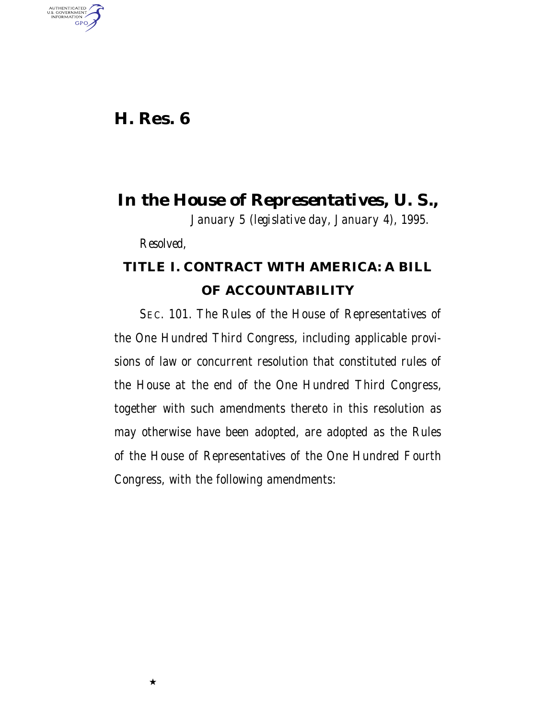## **H. Res. 6**

AUTHENTICATED<br>U.S. GOVERNMENT<br>INFORMATION **GPO** 

*In the House of Representatives, U. S.,*

*January 5 (legislative day, January 4), 1995.*

*Resolved,*

★

## **TITLE I. CONTRACT WITH AMERICA: A BILL OF ACCOUNTABILITY**

SEC. 101. The Rules of the House of Representatives of the One Hundred Third Congress, including applicable provisions of law or concurrent resolution that constituted rules of the House at the end of the One Hundred Third Congress, together with such amendments thereto in this resolution as may otherwise have been adopted, are adopted as the Rules of the House of Representatives of the One Hundred Fourth Congress, with the following amendments: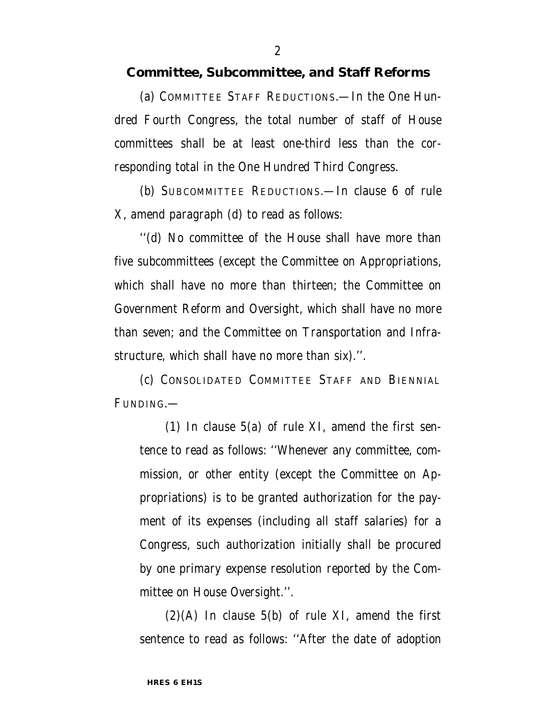#### **Committee, Subcommittee, and Staff Reforms**

(a) COMMITTEE STAFF REDUCTIONS.—In the One Hundred Fourth Congress, the total number of staff of House committees shall be at least one-third less than the corresponding total in the One Hundred Third Congress.

(b) SUBCOMMITTEE REDUCTIONS.—In clause 6 of rule X, amend paragraph (d) to read as follows:

''(d) No committee of the House shall have more than five subcommittees (except the Committee on Appropriations, which shall have no more than thirteen; the Committee on Government Reform and Oversight, which shall have no more than seven; and the Committee on Transportation and Infrastructure, which shall have no more than six).''.

(c) CONSOLIDATED COMMITTEE STAFF AND BIENNIAL FUNDING.—

(1) In clause 5(a) of rule XI, amend the first sentence to read as follows: ''Whenever any committee, commission, or other entity (except the Committee on Appropriations) is to be granted authorization for the payment of its expenses (including all staff salaries) for a Congress, such authorization initially shall be procured by one primary expense resolution reported by the Committee on House Oversight.''.

 $(2)(A)$  In clause 5(b) of rule XI, amend the first sentence to read as follows: ''After the date of adoption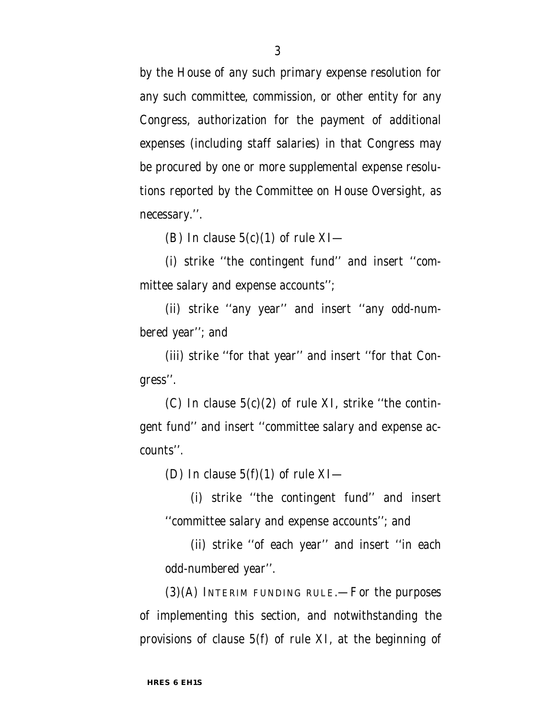by the House of any such primary expense resolution for any such committee, commission, or other entity for any Congress, authorization for the payment of additional expenses (including staff salaries) in that Congress may be procured by one or more supplemental expense resolutions reported by the Committee on House Oversight, as necessary.''.

(B) In clause  $5(c)(1)$  of rule XI—

(i) strike ''the contingent fund'' and insert ''committee salary and expense accounts'';

(ii) strike ''any year'' and insert ''any odd-numbered year''; and

(iii) strike ''for that year'' and insert ''for that Congress''.

(C) In clause  $5(c)(2)$  of rule XI, strike "the contingent fund'' and insert ''committee salary and expense accounts''.

(D) In clause  $5(f)(1)$  of rule XI—

(i) strike ''the contingent fund'' and insert ''committee salary and expense accounts''; and

(ii) strike ''of each year'' and insert ''in each odd-numbered year''.

 $(3)(A)$  INTERIM FUNDING RULE.—For the purposes of implementing this section, and notwithstanding the provisions of clause 5(f) of rule XI, at the beginning of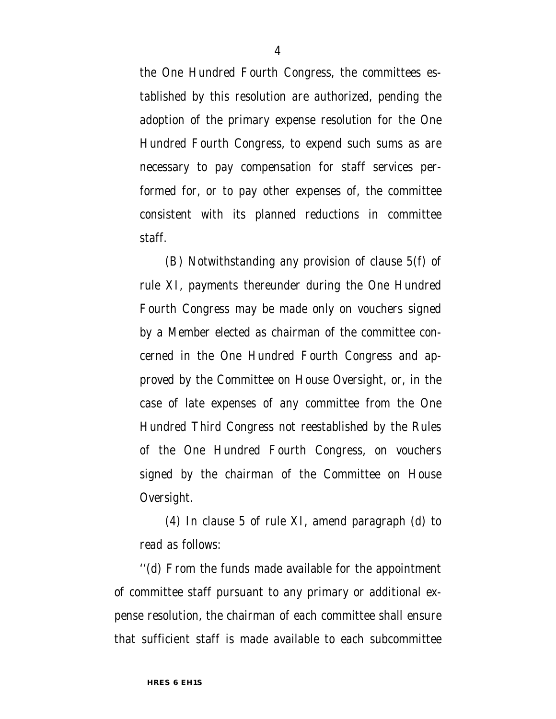the One Hundred Fourth Congress, the committees established by this resolution are authorized, pending the adoption of the primary expense resolution for the One Hundred Fourth Congress, to expend such sums as are necessary to pay compensation for staff services performed for, or to pay other expenses of, the committee consistent with its planned reductions in committee staff.

(B) Notwithstanding any provision of clause 5(f) of rule XI, payments thereunder during the One Hundred Fourth Congress may be made only on vouchers signed by a Member elected as chairman of the committee concerned in the One Hundred Fourth Congress and approved by the Committee on House Oversight, or, in the case of late expenses of any committee from the One Hundred Third Congress not reestablished by the Rules of the One Hundred Fourth Congress, on vouchers signed by the chairman of the Committee on House Oversight.

(4) In clause 5 of rule XI, amend paragraph (d) to read as follows:

''(d) From the funds made available for the appointment of committee staff pursuant to any primary or additional expense resolution, the chairman of each committee shall ensure that sufficient staff is made available to each subcommittee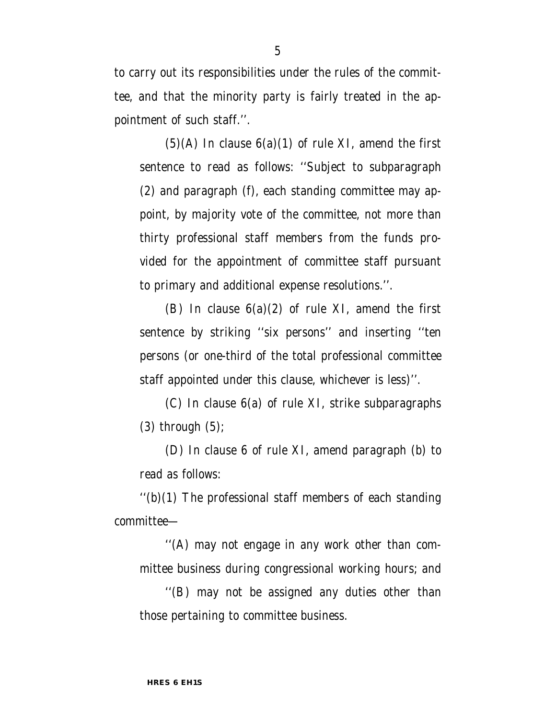to carry out its responsibilities under the rules of the committee, and that the minority party is fairly treated in the appointment of such staff.''.

 $(5)(A)$  In clause  $6(a)(1)$  of rule XI, amend the first sentence to read as follows: ''Subject to subparagraph (2) and paragraph (f), each standing committee may appoint, by majority vote of the committee, not more than thirty professional staff members from the funds provided for the appointment of committee staff pursuant to primary and additional expense resolutions.''.

(B) In clause  $6(a)(2)$  of rule XI, amend the first sentence by striking "six persons" and inserting "ten persons (or one-third of the total professional committee staff appointed under this clause, whichever is less)''.

(C) In clause 6(a) of rule XI, strike subparagraphs (3) through (5);

(D) In clause 6 of rule XI, amend paragraph (b) to read as follows:

 $''(b)(1)$  The professional staff members of each standing committee—

''(A) may not engage in any work other than committee business during congressional working hours; and

''(B) may not be assigned any duties other than those pertaining to committee business.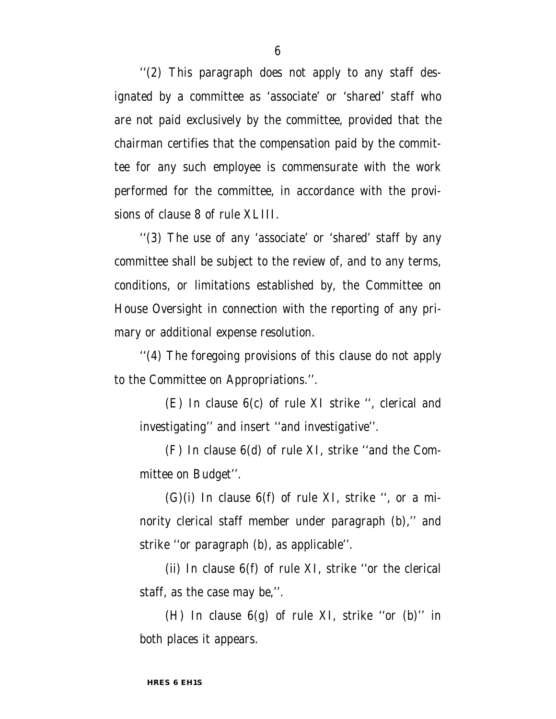''(2) This paragraph does not apply to any staff designated by a committee as 'associate' or 'shared' staff who are not paid exclusively by the committee, provided that the chairman certifies that the compensation paid by the committee for any such employee is commensurate with the work performed for the committee, in accordance with the provisions of clause 8 of rule XLIII.

''(3) The use of any 'associate' or 'shared' staff by any committee shall be subject to the review of, and to any terms, conditions, or limitations established by, the Committee on House Oversight in connection with the reporting of any primary or additional expense resolution.

''(4) The foregoing provisions of this clause do not apply to the Committee on Appropriations.''.

(E) In clause 6(c) of rule XI strike '', clerical and investigating'' and insert ''and investigative''.

(F) In clause 6(d) of rule XI, strike ''and the Committee on Budget''.

 $(G)(i)$  In clause  $6(f)$  of rule XI, strike ", or a minority clerical staff member under paragraph (b)," and strike ''or paragraph (b), as applicable''.

(ii) In clause 6(f) of rule XI, strike ''or the clerical staff, as the case may be,''.

(H) In clause  $6(g)$  of rule XI, strike "or (b)" in both places it appears.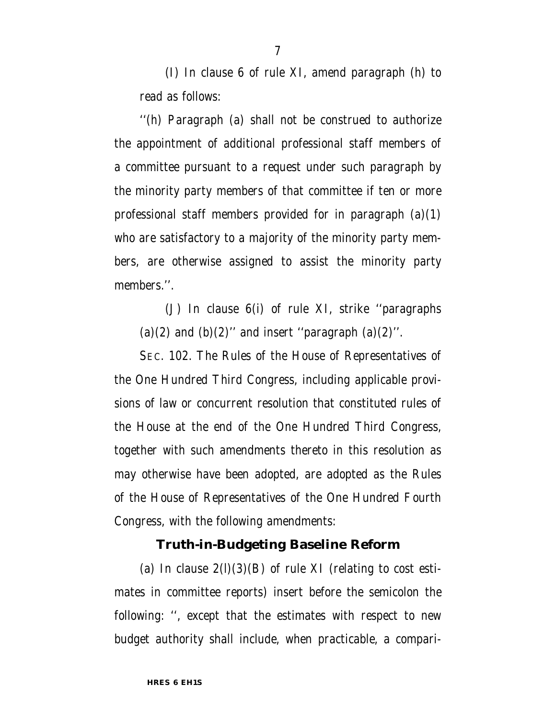(I) In clause 6 of rule XI, amend paragraph (h) to read as follows:

''(h) Paragraph (a) shall not be construed to authorize the appointment of additional professional staff members of a committee pursuant to a request under such paragraph by the minority party members of that committee if ten or more professional staff members provided for in paragraph  $(a)(1)$ who are satisfactory to a majority of the minority party members, are otherwise assigned to assist the minority party members.''.

(J) In clause 6(i) of rule XI, strike ''paragraphs (a)(2) and (b)(2)" and insert "paragraph (a)(2)".

SEC. 102. The Rules of the House of Representatives of the One Hundred Third Congress, including applicable provisions of law or concurrent resolution that constituted rules of the House at the end of the One Hundred Third Congress, together with such amendments thereto in this resolution as may otherwise have been adopted, are adopted as the Rules of the House of Representatives of the One Hundred Fourth Congress, with the following amendments:

### **Truth-in-Budgeting Baseline Reform**

(a) In clause  $2(1)(3)(B)$  of rule XI (relating to cost estimates in committee reports) insert before the semicolon the following: '', except that the estimates with respect to new budget authority shall include, when practicable, a compari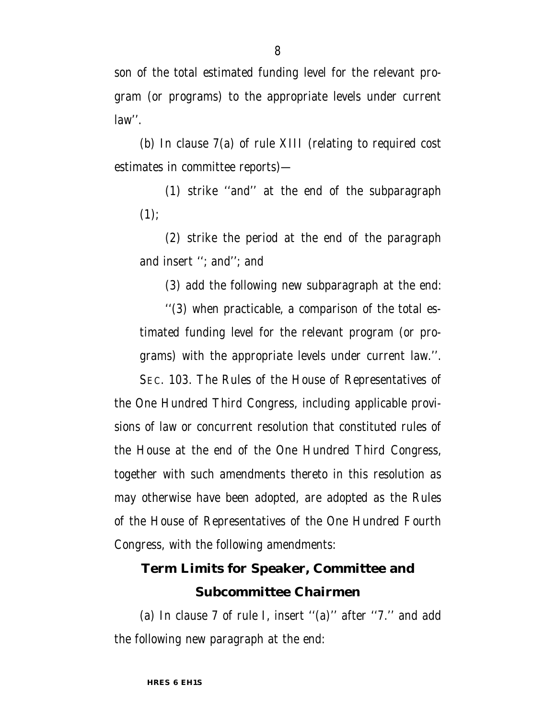son of the total estimated funding level for the relevant program (or programs) to the appropriate levels under current law''.

(b) In clause 7(a) of rule XIII (relating to required cost estimates in committee reports)—

(1) strike ''and'' at the end of the subparagraph  $(1)$ :

(2) strike the period at the end of the paragraph and insert ''; and''; and

(3) add the following new subparagraph at the end:

''(3) when practicable, a comparison of the total estimated funding level for the relevant program (or programs) with the appropriate levels under current law.''.

SEC. 103. The Rules of the House of Representatives of the One Hundred Third Congress, including applicable provisions of law or concurrent resolution that constituted rules of the House at the end of the One Hundred Third Congress, together with such amendments thereto in this resolution as may otherwise have been adopted, are adopted as the Rules of the House of Representatives of the One Hundred Fourth Congress, with the following amendments:

# **Term Limits for Speaker, Committee and Subcommittee Chairmen**

(a) In clause 7 of rule I, insert ''(a)'' after ''7.'' and add the following new paragraph at the end: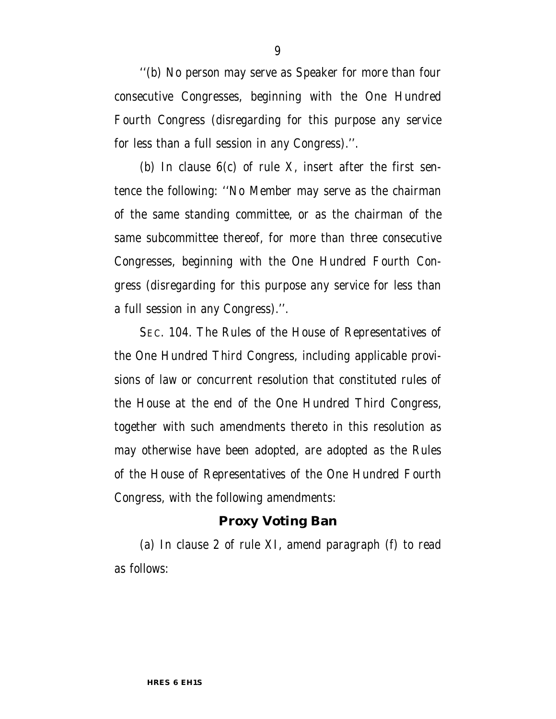''(b) No person may serve as Speaker for more than four consecutive Congresses, beginning with the One Hundred Fourth Congress (disregarding for this purpose any service for less than a full session in any Congress).''.

(b) In clause  $6(c)$  of rule X, insert after the first sentence the following: ''No Member may serve as the chairman of the same standing committee, or as the chairman of the same subcommittee thereof, for more than three consecutive Congresses, beginning with the One Hundred Fourth Congress (disregarding for this purpose any service for less than a full session in any Congress).''.

SEC. 104. The Rules of the House of Representatives of the One Hundred Third Congress, including applicable provisions of law or concurrent resolution that constituted rules of the House at the end of the One Hundred Third Congress, together with such amendments thereto in this resolution as may otherwise have been adopted, are adopted as the Rules of the House of Representatives of the One Hundred Fourth Congress, with the following amendments:

#### **Proxy Voting Ban**

(a) In clause 2 of rule XI, amend paragraph (f) to read as follows: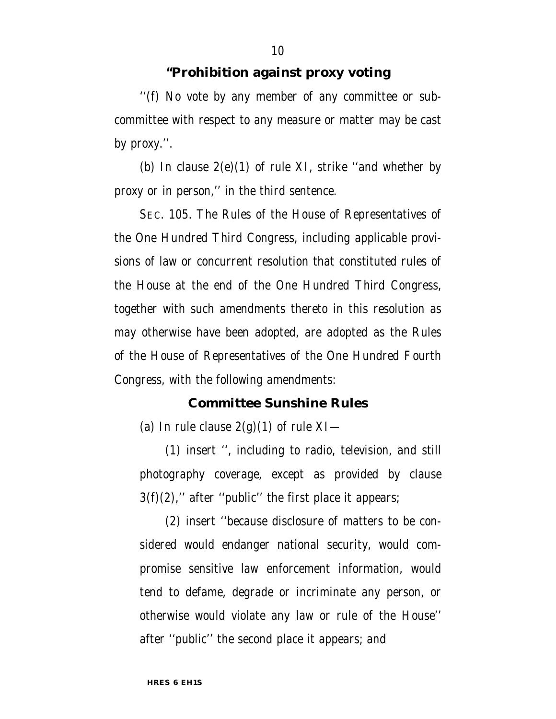#### **''Prohibition against proxy voting**

''(f) No vote by any member of any committee or subcommittee with respect to any measure or matter may be cast by proxy.''.

(b) In clause  $2(e)(1)$  of rule XI, strike "and whether by proxy or in person,'' in the third sentence.

SEC. 105. The Rules of the House of Representatives of the One Hundred Third Congress, including applicable provisions of law or concurrent resolution that constituted rules of the House at the end of the One Hundred Third Congress, together with such amendments thereto in this resolution as may otherwise have been adopted, are adopted as the Rules of the House of Representatives of the One Hundred Fourth Congress, with the following amendments:

#### **Committee Sunshine Rules**

(a) In rule clause  $2(g)(1)$  of rule XI—

(1) insert '', including to radio, television, and still photography coverage, except as provided by clause  $3(f)(2)$ ," after "public" the first place it appears;

(2) insert ''because disclosure of matters to be considered would endanger national security, would compromise sensitive law enforcement information, would tend to defame, degrade or incriminate any person, or otherwise would violate any law or rule of the House'' after ''public'' the second place it appears; and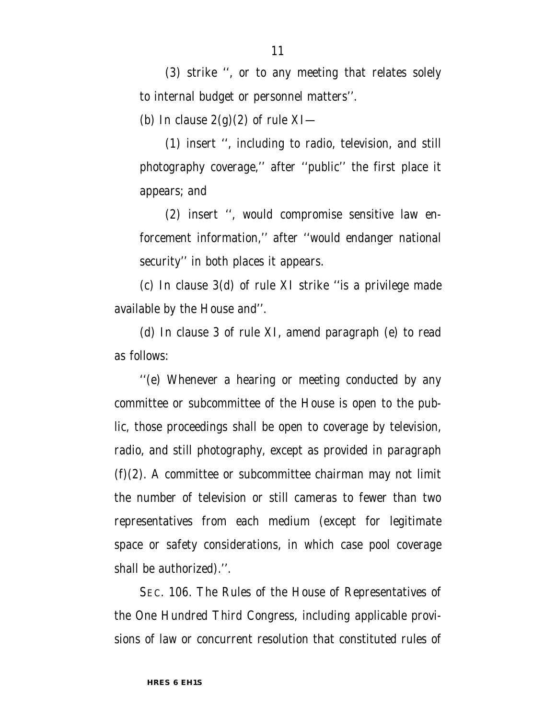(3) strike '', or to any meeting that relates solely to internal budget or personnel matters''.

(b) In clause  $2(g)(2)$  of rule XI—

(1) insert '', including to radio, television, and still photography coverage,'' after ''public'' the first place it appears; and

(2) insert '', would compromise sensitive law enforcement information,'' after ''would endanger national security'' in both places it appears.

(c) In clause 3(d) of rule XI strike ''is a privilege made available by the House and''.

(d) In clause 3 of rule XI, amend paragraph (e) to read as follows:

''(e) Whenever a hearing or meeting conducted by any committee or subcommittee of the House is open to the public, those proceedings shall be open to coverage by television, radio, and still photography, except as provided in paragraph  $(f)(2)$ . A committee or subcommittee chairman may not limit the number of television or still cameras to fewer than two representatives from each medium (except for legitimate space or safety considerations, in which case pool coverage shall be authorized).''.

SEC. 106. The Rules of the House of Representatives of the One Hundred Third Congress, including applicable provisions of law or concurrent resolution that constituted rules of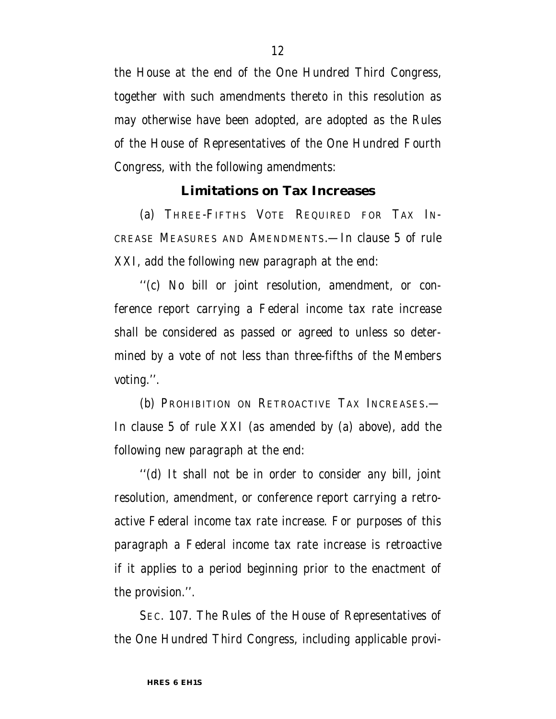the House at the end of the One Hundred Third Congress, together with such amendments thereto in this resolution as may otherwise have been adopted, are adopted as the Rules of the House of Representatives of the One Hundred Fourth Congress, with the following amendments:

#### **Limitations on Tax Increases**

(a) THREE-FIFTHS VOTE REQUIRED FOR TAX IN-CREASE MEASURES AND AMENDMENTS.—In clause 5 of rule XXI, add the following new paragraph at the end:

''(c) No bill or joint resolution, amendment, or conference report carrying a Federal income tax rate increase shall be considered as passed or agreed to unless so determined by a vote of not less than three-fifths of the Members voting.''.

(b) PROHIBITION ON RETROACTIVE TAX INCREASES.— In clause 5 of rule XXI (as amended by (a) above), add the following new paragraph at the end:

''(d) It shall not be in order to consider any bill, joint resolution, amendment, or conference report carrying a retroactive Federal income tax rate increase. For purposes of this paragraph a Federal income tax rate increase is retroactive if it applies to a period beginning prior to the enactment of the provision.''.

SEC. 107. The Rules of the House of Representatives of the One Hundred Third Congress, including applicable provi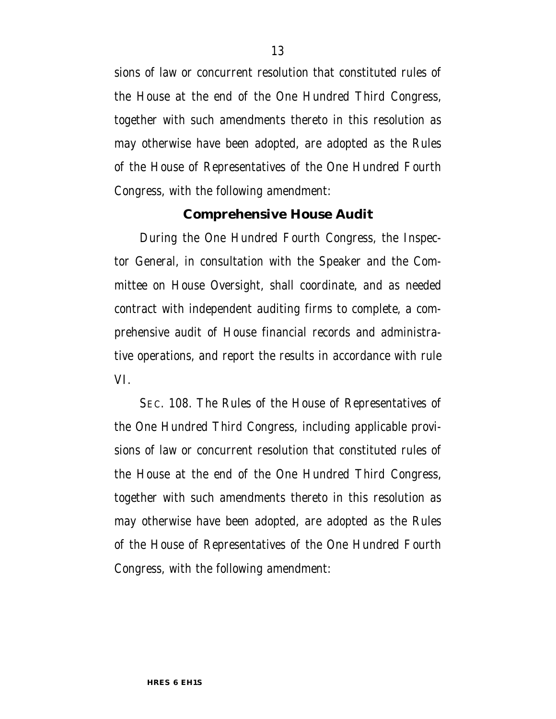sions of law or concurrent resolution that constituted rules of the House at the end of the One Hundred Third Congress, together with such amendments thereto in this resolution as may otherwise have been adopted, are adopted as the Rules of the House of Representatives of the One Hundred Fourth Congress, with the following amendment:

#### **Comprehensive House Audit**

During the One Hundred Fourth Congress, the Inspector General, in consultation with the Speaker and the Committee on House Oversight, shall coordinate, and as needed contract with independent auditing firms to complete, a comprehensive audit of House financial records and administrative operations, and report the results in accordance with rule VI.

SEC. 108. The Rules of the House of Representatives of the One Hundred Third Congress, including applicable provisions of law or concurrent resolution that constituted rules of the House at the end of the One Hundred Third Congress, together with such amendments thereto in this resolution as may otherwise have been adopted, are adopted as the Rules of the House of Representatives of the One Hundred Fourth Congress, with the following amendment: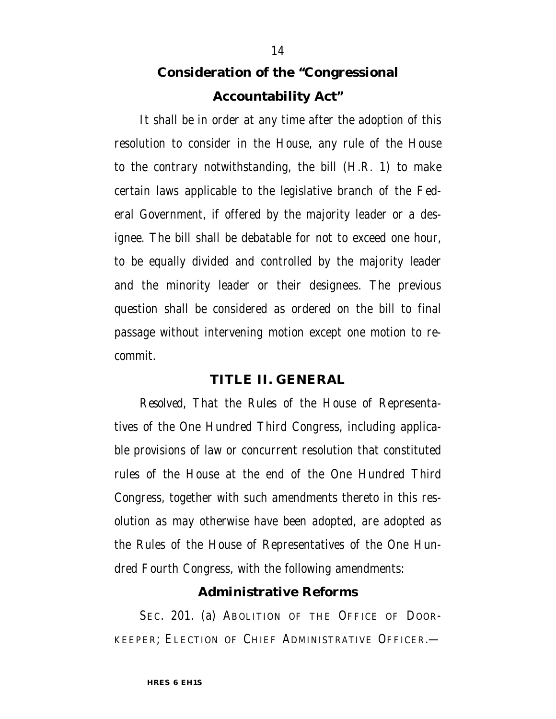# **Consideration of the ''Congressional Accountability Act''**

It shall be in order at any time after the adoption of this resolution to consider in the House, any rule of the House to the contrary notwithstanding, the bill (H.R. 1) to make certain laws applicable to the legislative branch of the Federal Government, if offered by the majority leader or a designee. The bill shall be debatable for not to exceed one hour, to be equally divided and controlled by the majority leader and the minority leader or their designees. The previous question shall be considered as ordered on the bill to final passage without intervening motion except one motion to recommit.

#### **TITLE II. GENERAL**

*Resolved,* That the Rules of the House of Representatives of the One Hundred Third Congress, including applicable provisions of law or concurrent resolution that constituted rules of the House at the end of the One Hundred Third Congress, together with such amendments thereto in this resolution as may otherwise have been adopted, are adopted as the Rules of the House of Representatives of the One Hundred Fourth Congress, with the following amendments:

#### **Administrative Reforms**

SEC. 201. (a) ABOLITION OF THE OFFICE OF DOOR-KEEPER; ELECTION OF CHIEF ADMINISTRATIVE OFFICER.—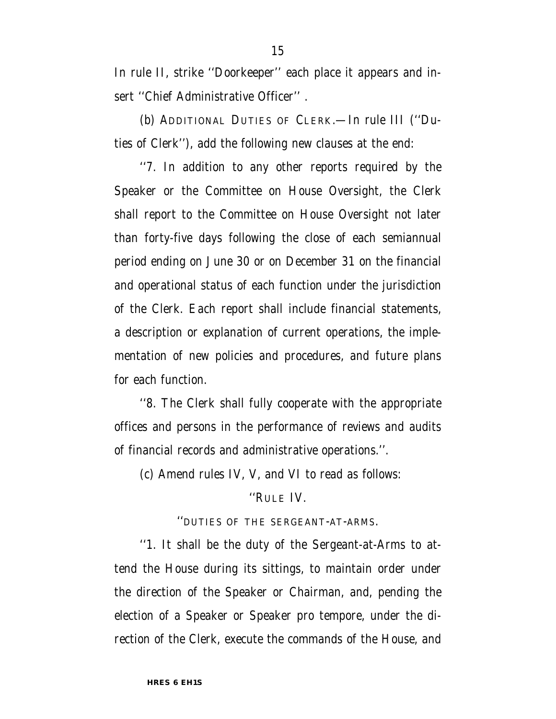In rule II, strike ''Doorkeeper'' each place it appears and insert ''Chief Administrative Officer'' .

(b) ADDITIONAL DUTIES OF CLERK.—In rule III (''Duties of Clerk''), add the following new clauses at the end:

''7. In addition to any other reports required by the Speaker or the Committee on House Oversight, the Clerk shall report to the Committee on House Oversight not later than forty-five days following the close of each semiannual period ending on June 30 or on December 31 on the financial and operational status of each function under the jurisdiction of the Clerk. Each report shall include financial statements, a description or explanation of current operations, the implementation of new policies and procedures, and future plans for each function.

''8. The Clerk shall fully cooperate with the appropriate offices and persons in the performance of reviews and audits of financial records and administrative operations.''.

(c) Amend rules IV, V, and VI to read as follows:

#### ''RULE IV.

''DUTIES OF THE SERGEANT-AT-ARMS.

''1. It shall be the duty of the Sergeant-at-Arms to attend the House during its sittings, to maintain order under the direction of the Speaker or Chairman, and, pending the election of a Speaker or Speaker pro tempore, under the direction of the Clerk, execute the commands of the House, and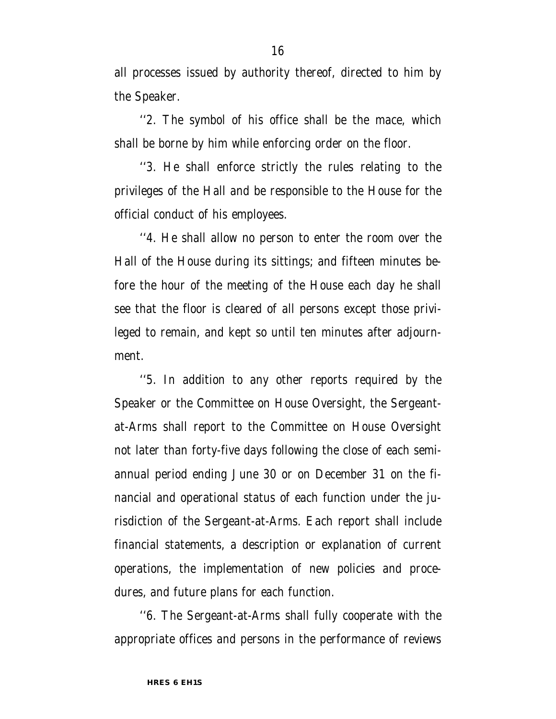all processes issued by authority thereof, directed to him by the Speaker.

''2. The symbol of his office shall be the mace, which shall be borne by him while enforcing order on the floor.

''3. He shall enforce strictly the rules relating to the privileges of the Hall and be responsible to the House for the official conduct of his employees.

''4. He shall allow no person to enter the room over the Hall of the House during its sittings; and fifteen minutes before the hour of the meeting of the House each day he shall see that the floor is cleared of all persons except those privileged to remain, and kept so until ten minutes after adjournment.

''5. In addition to any other reports required by the Speaker or the Committee on House Oversight, the Sergeantat-Arms shall report to the Committee on House Oversight not later than forty-five days following the close of each semiannual period ending June 30 or on December 31 on the financial and operational status of each function under the jurisdiction of the Sergeant-at-Arms. Each report shall include financial statements, a description or explanation of current operations, the implementation of new policies and procedures, and future plans for each function.

''6. The Sergeant-at-Arms shall fully cooperate with the appropriate offices and persons in the performance of reviews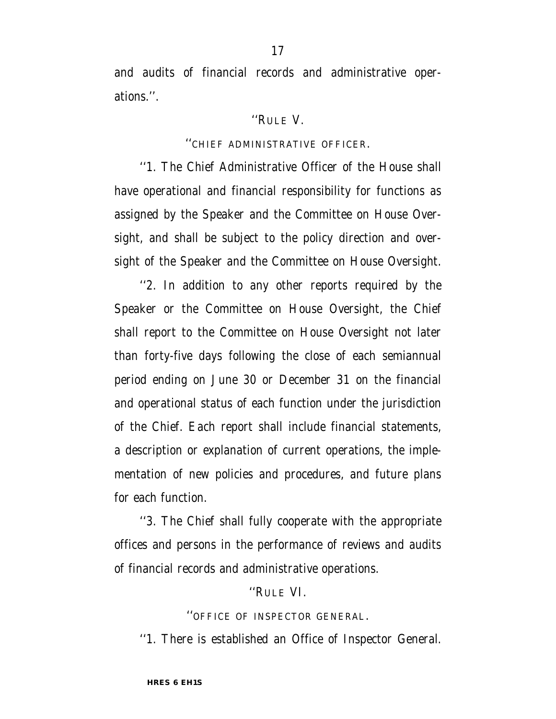and audits of financial records and administrative operations.''.

#### ''RULE V.

#### ''CHIEF ADMINISTRATIVE OFFICER.

''1. The Chief Administrative Officer of the House shall have operational and financial responsibility for functions as assigned by the Speaker and the Committee on House Oversight, and shall be subject to the policy direction and oversight of the Speaker and the Committee on House Oversight.

''2. In addition to any other reports required by the Speaker or the Committee on House Oversight, the Chief shall report to the Committee on House Oversight not later than forty-five days following the close of each semiannual period ending on June 30 or December 31 on the financial and operational status of each function under the jurisdiction of the Chief. Each report shall include financial statements, a description or explanation of current operations, the implementation of new policies and procedures, and future plans for each function.

''3. The Chief shall fully cooperate with the appropriate offices and persons in the performance of reviews and audits of financial records and administrative operations.

#### ''RULE VI.

''OFFICE OF INSPECTOR GENERAL.

''1. There is established an Office of Inspector General.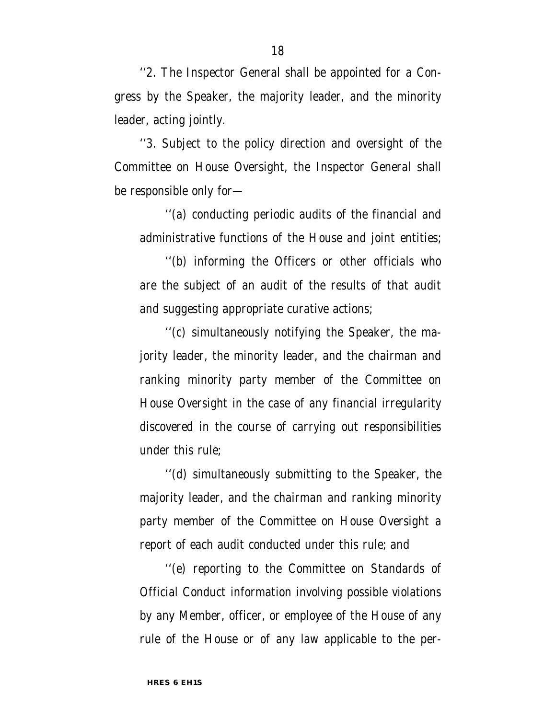''2. The Inspector General shall be appointed for a Congress by the Speaker, the majority leader, and the minority leader, acting jointly.

''3. Subject to the policy direction and oversight of the Committee on House Oversight, the Inspector General shall be responsible only for—

''(a) conducting periodic audits of the financial and administrative functions of the House and joint entities;

''(b) informing the Officers or other officials who are the subject of an audit of the results of that audit and suggesting appropriate curative actions;

''(c) simultaneously notifying the Speaker, the majority leader, the minority leader, and the chairman and ranking minority party member of the Committee on House Oversight in the case of any financial irregularity discovered in the course of carrying out responsibilities under this rule;

''(d) simultaneously submitting to the Speaker, the majority leader, and the chairman and ranking minority party member of the Committee on House Oversight a report of each audit conducted under this rule; and

''(e) reporting to the Committee on Standards of Official Conduct information involving possible violations by any Member, officer, or employee of the House of any rule of the House or of any law applicable to the per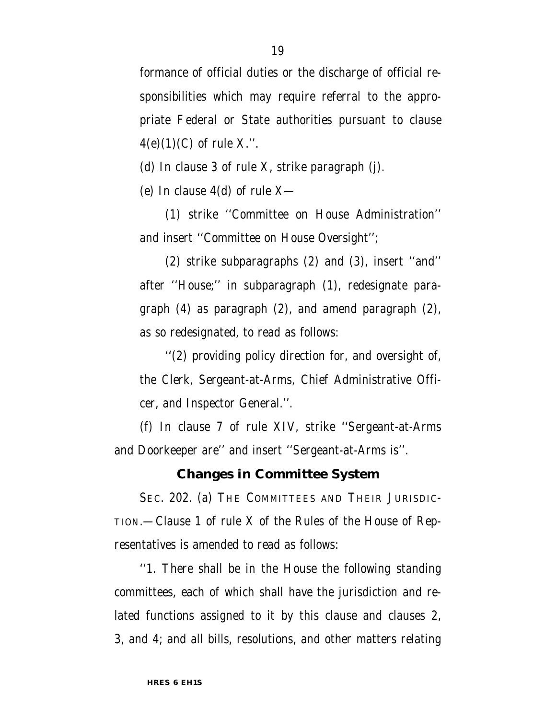formance of official duties or the discharge of official responsibilities which may require referral to the appropriate Federal or State authorities pursuant to clause  $4(e)(1)(C)$  of rule X.".

(d) In clause 3 of rule X, strike paragraph (j).

(e) In clause 4(d) of rule X—

(1) strike ''Committee on House Administration'' and insert ''Committee on House Oversight'';

(2) strike subparagraphs (2) and (3), insert ''and'' after ''House;'' in subparagraph (1), redesignate paragraph (4) as paragraph (2), and amend paragraph (2), as so redesignated, to read as follows:

''(2) providing policy direction for, and oversight of, the Clerk, Sergeant-at-Arms, Chief Administrative Officer, and Inspector General.''.

(f) In clause 7 of rule XIV, strike ''Sergeant-at-Arms and Doorkeeper are'' and insert ''Sergeant-at-Arms is''.

### **Changes in Committee System**

SEC. 202. (a) THE COMMITTEES AND THEIR JURISDIC-TION.—Clause 1 of rule X of the Rules of the House of Representatives is amended to read as follows:

''1. There shall be in the House the following standing committees, each of which shall have the jurisdiction and related functions assigned to it by this clause and clauses 2, 3, and 4; and all bills, resolutions, and other matters relating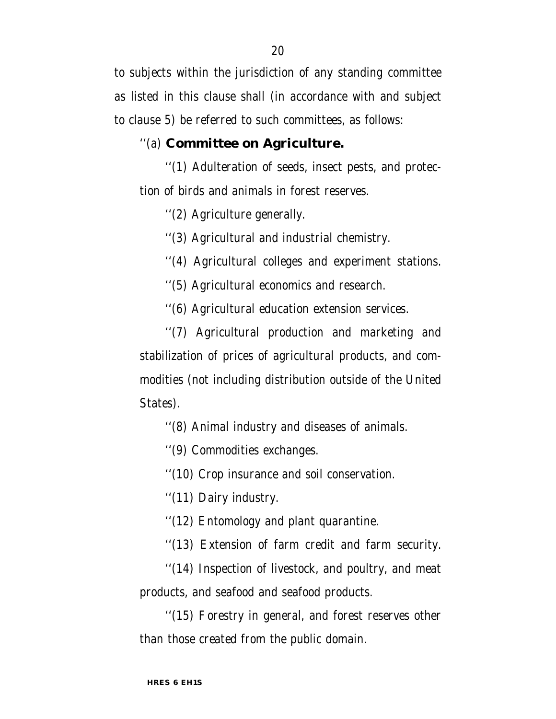to subjects within the jurisdiction of any standing committee as listed in this clause shall (in accordance with and subject to clause 5) be referred to such committees, as follows:

### ''(a) **Committee on Agriculture.**

''(1) Adulteration of seeds, insect pests, and protection of birds and animals in forest reserves.

''(2) Agriculture generally.

''(3) Agricultural and industrial chemistry.

''(4) Agricultural colleges and experiment stations.

''(5) Agricultural economics and research.

''(6) Agricultural education extension services.

''(7) Agricultural production and marketing and stabilization of prices of agricultural products, and commodities (not including distribution outside of the United States).

''(8) Animal industry and diseases of animals.

''(9) Commodities exchanges.

''(10) Crop insurance and soil conservation.

''(11) Dairy industry.

''(12) Entomology and plant quarantine.

''(13) Extension of farm credit and farm security.

''(14) Inspection of livestock, and poultry, and meat products, and seafood and seafood products.

''(15) Forestry in general, and forest reserves other than those created from the public domain.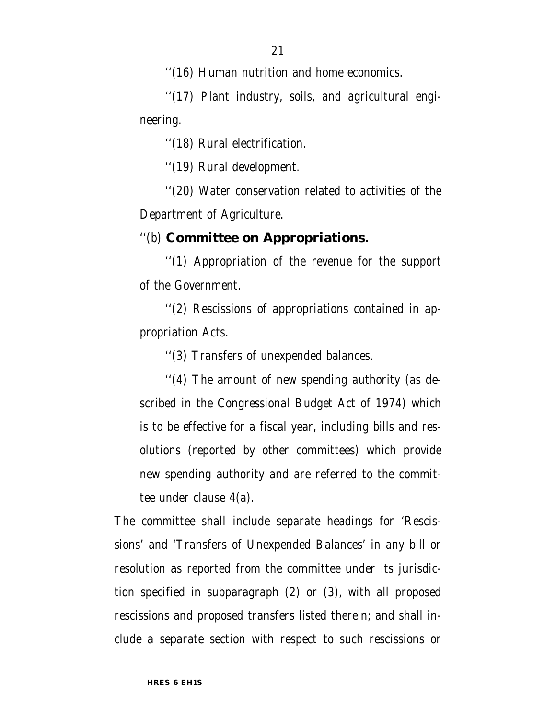''(16) Human nutrition and home economics.

''(17) Plant industry, soils, and agricultural engineering.

''(18) Rural electrification.

''(19) Rural development.

''(20) Water conservation related to activities of the Department of Agriculture.

## ''(b) **Committee on Appropriations.**

''(1) Appropriation of the revenue for the support of the Government.

''(2) Rescissions of appropriations contained in appropriation Acts.

''(3) Transfers of unexpended balances.

''(4) The amount of new spending authority (as described in the Congressional Budget Act of 1974) which is to be effective for a fiscal year, including bills and resolutions (reported by other committees) which provide new spending authority and are referred to the committee under clause 4(a).

The committee shall include separate headings for 'Rescissions' and 'Transfers of Unexpended Balances' in any bill or resolution as reported from the committee under its jurisdiction specified in subparagraph (2) or (3), with all proposed rescissions and proposed transfers listed therein; and shall include a separate section with respect to such rescissions or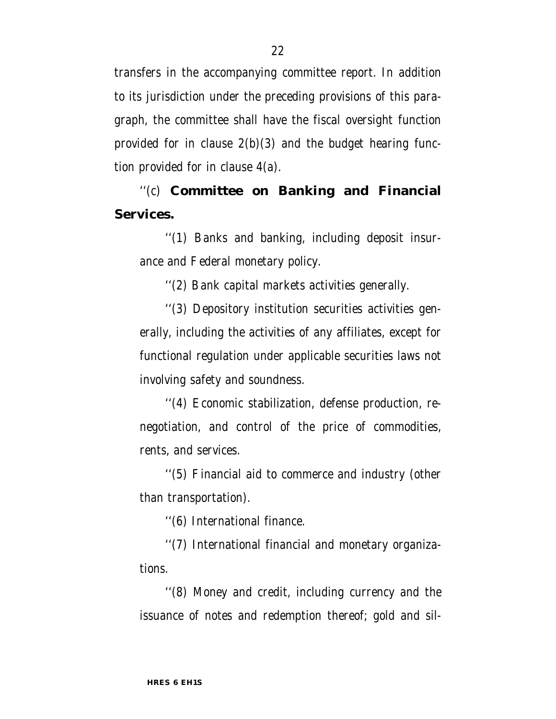transfers in the accompanying committee report. In addition to its jurisdiction under the preceding provisions of this paragraph, the committee shall have the fiscal oversight function provided for in clause  $2(b)(3)$  and the budget hearing function provided for in clause 4(a).

''(c) **Committee on Banking and Financial Services.**

''(1) Banks and banking, including deposit insurance and Federal monetary policy.

''(2) Bank capital markets activities generally.

''(3) Depository institution securities activities generally, including the activities of any affiliates, except for functional regulation under applicable securities laws not involving safety and soundness.

''(4) Economic stabilization, defense production, renegotiation, and control of the price of commodities, rents, and services.

''(5) Financial aid to commerce and industry (other than transportation).

''(6) International finance.

''(7) International financial and monetary organizations.

''(8) Money and credit, including currency and the issuance of notes and redemption thereof; gold and sil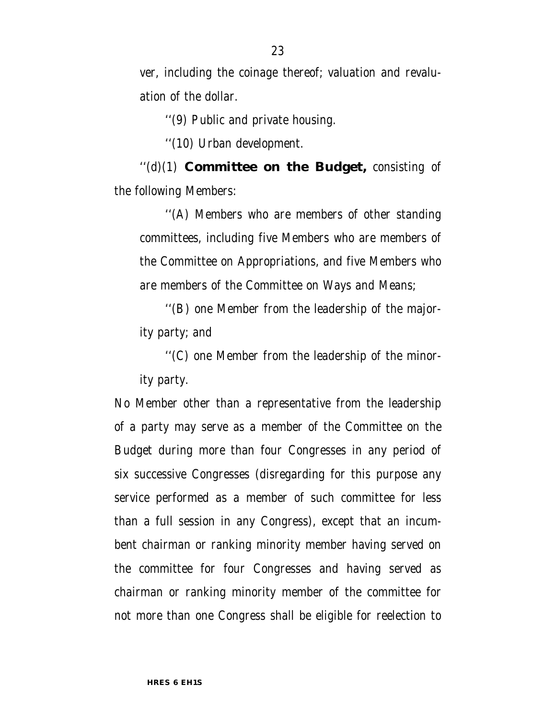ver, including the coinage thereof; valuation and revaluation of the dollar.

''(9) Public and private housing.

''(10) Urban development.

''(d)(1) **Committee on the Budget,** consisting of the following Members:

''(A) Members who are members of other standing committees, including five Members who are members of the Committee on Appropriations, and five Members who are members of the Committee on Ways and Means;

''(B) one Member from the leadership of the majority party; and

''(C) one Member from the leadership of the minority party.

No Member other than a representative from the leadership of a party may serve as a member of the Committee on the Budget during more than four Congresses in any period of six successive Congresses (disregarding for this purpose any service performed as a member of such committee for less than a full session in any Congress), except that an incumbent chairman or ranking minority member having served on the committee for four Congresses and having served as chairman or ranking minority member of the committee for not more than one Congress shall be eligible for reelection to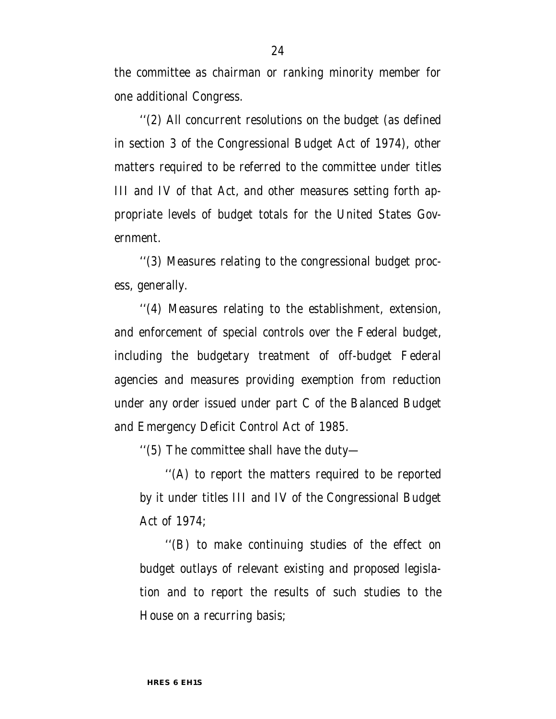the committee as chairman or ranking minority member for one additional Congress.

''(2) All concurrent resolutions on the budget (as defined in section 3 of the Congressional Budget Act of 1974), other matters required to be referred to the committee under titles III and IV of that Act, and other measures setting forth appropriate levels of budget totals for the United States Government.

''(3) Measures relating to the congressional budget process, generally.

''(4) Measures relating to the establishment, extension, and enforcement of special controls over the Federal budget, including the budgetary treatment of off-budget Federal agencies and measures providing exemption from reduction under any order issued under part C of the Balanced Budget and Emergency Deficit Control Act of 1985.

''(5) The committee shall have the duty—

''(A) to report the matters required to be reported by it under titles III and IV of the Congressional Budget Act of 1974;

''(B) to make continuing studies of the effect on budget outlays of relevant existing and proposed legislation and to report the results of such studies to the House on a recurring basis;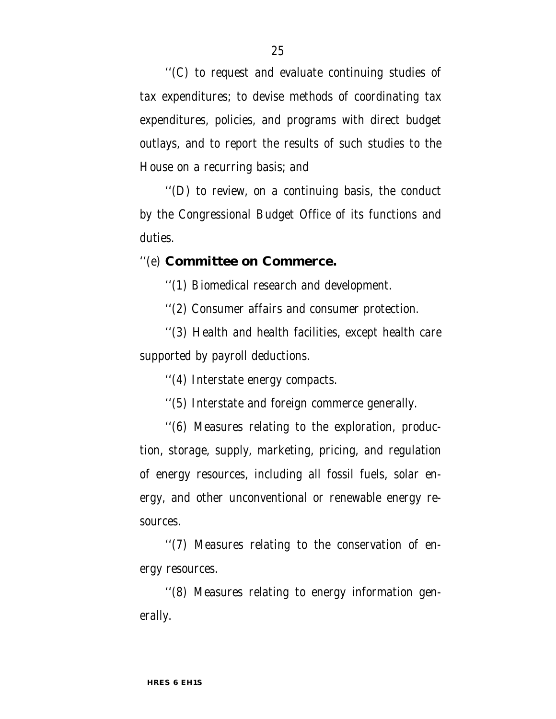''(C) to request and evaluate continuing studies of tax expenditures; to devise methods of coordinating tax expenditures, policies, and programs with direct budget outlays, and to report the results of such studies to the House on a recurring basis; and

''(D) to review, on a continuing basis, the conduct by the Congressional Budget Office of its functions and duties.

#### ''(e) **Committee on Commerce.**

''(1) Biomedical research and development.

''(2) Consumer affairs and consumer protection.

''(3) Health and health facilities, except health care supported by payroll deductions.

''(4) Interstate energy compacts.

''(5) Interstate and foreign commerce generally.

''(6) Measures relating to the exploration, production, storage, supply, marketing, pricing, and regulation of energy resources, including all fossil fuels, solar energy, and other unconventional or renewable energy resources.

''(7) Measures relating to the conservation of energy resources.

''(8) Measures relating to energy information generally.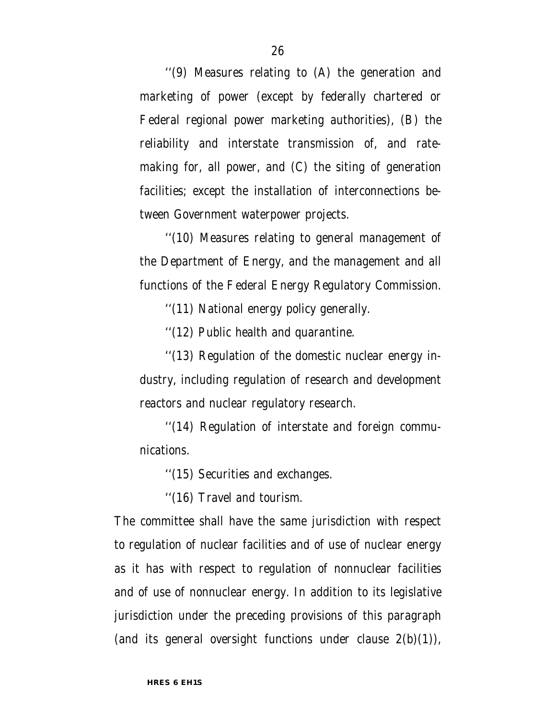''(9) Measures relating to (A) the generation and marketing of power (except by federally chartered or Federal regional power marketing authorities), (B) the reliability and interstate transmission of, and ratemaking for, all power, and (C) the siting of generation facilities; except the installation of interconnections between Government waterpower projects.

''(10) Measures relating to general management of the Department of Energy, and the management and all functions of the Federal Energy Regulatory Commission.

''(11) National energy policy generally.

''(12) Public health and quarantine.

''(13) Regulation of the domestic nuclear energy industry, including regulation of research and development reactors and nuclear regulatory research.

''(14) Regulation of interstate and foreign communications.

''(15) Securities and exchanges.

''(16) Travel and tourism.

The committee shall have the same jurisdiction with respect to regulation of nuclear facilities and of use of nuclear energy as it has with respect to regulation of nonnuclear facilities and of use of nonnuclear energy. In addition to its legislative jurisdiction under the preceding provisions of this paragraph (and its general oversight functions under clause  $2(b)(1)$ ),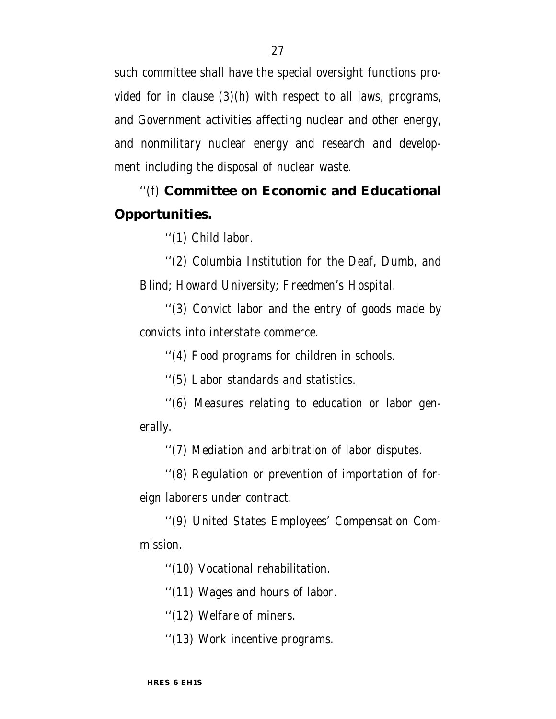such committee shall have the special oversight functions provided for in clause  $(3)(h)$  with respect to all laws, programs, and Government activities affecting nuclear and other energy, and nonmilitary nuclear energy and research and development including the disposal of nuclear waste.

## ''(f) **Committee on Economic and Educational Opportunities.**

''(1) Child labor.

''(2) Columbia Institution for the Deaf, Dumb, and Blind; Howard University; Freedmen's Hospital.

''(3) Convict labor and the entry of goods made by convicts into interstate commerce.

''(4) Food programs for children in schools.

''(5) Labor standards and statistics.

''(6) Measures relating to education or labor generally.

''(7) Mediation and arbitration of labor disputes.

''(8) Regulation or prevention of importation of foreign laborers under contract.

''(9) United States Employees' Compensation Commission.

''(10) Vocational rehabilitation.

''(11) Wages and hours of labor.

''(12) Welfare of miners.

''(13) Work incentive programs.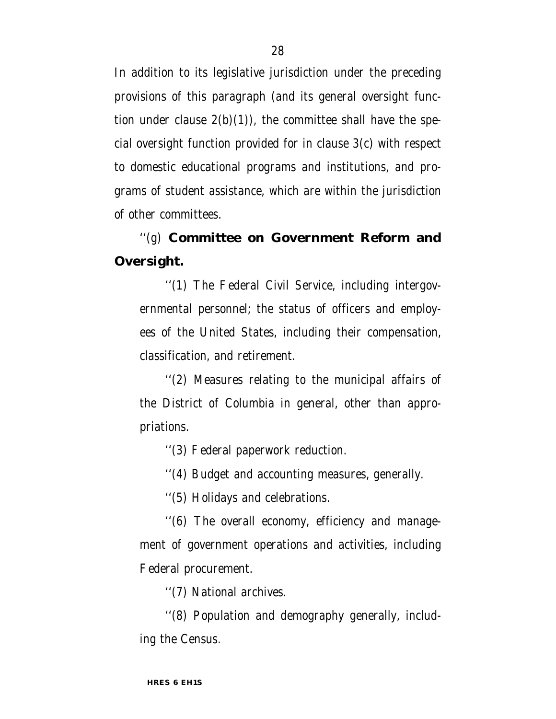In addition to its legislative jurisdiction under the preceding provisions of this paragraph (and its general oversight function under clause  $2(b)(1)$ , the committee shall have the special oversight function provided for in clause 3(c) with respect to domestic educational programs and institutions, and programs of student assistance, which are within the jurisdiction of other committees.

## ''(g) **Committee on Government Reform and Oversight.**

''(1) The Federal Civil Service, including intergovernmental personnel; the status of officers and employees of the United States, including their compensation, classification, and retirement.

''(2) Measures relating to the municipal affairs of the District of Columbia in general, other than appropriations.

''(3) Federal paperwork reduction.

''(4) Budget and accounting measures, generally.

''(5) Holidays and celebrations.

''(6) The overall economy, efficiency and management of government operations and activities, including Federal procurement.

''(7) National archives.

''(8) Population and demography generally, including the Census.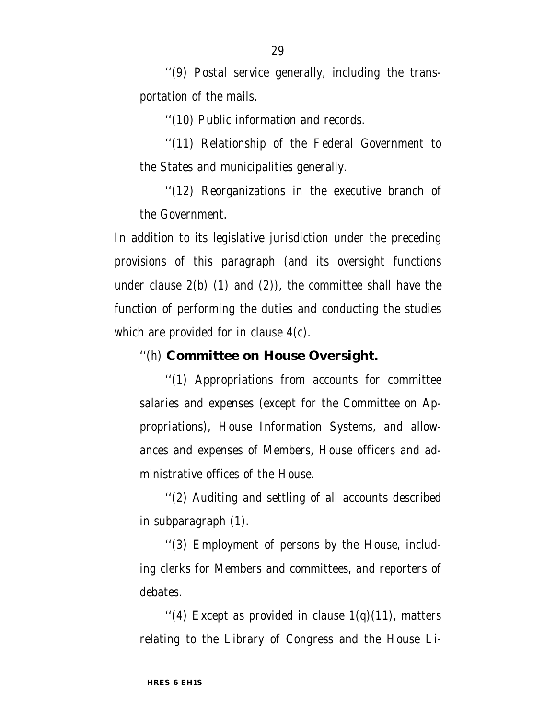''(9) Postal service generally, including the transportation of the mails.

''(10) Public information and records.

''(11) Relationship of the Federal Government to the States and municipalities generally.

''(12) Reorganizations in the executive branch of the Government.

In addition to its legislative jurisdiction under the preceding provisions of this paragraph (and its oversight functions under clause  $2(b)$  (1) and (2)), the committee shall have the function of performing the duties and conducting the studies which are provided for in clause 4(c).

''(h) **Committee on House Oversight.**

''(1) Appropriations from accounts for committee salaries and expenses (except for the Committee on Appropriations), House Information Systems, and allowances and expenses of Members, House officers and administrative offices of the House.

''(2) Auditing and settling of all accounts described in subparagraph (1).

''(3) Employment of persons by the House, including clerks for Members and committees, and reporters of debates.

"(4) Except as provided in clause  $1(q)(11)$ , matters relating to the Library of Congress and the House Li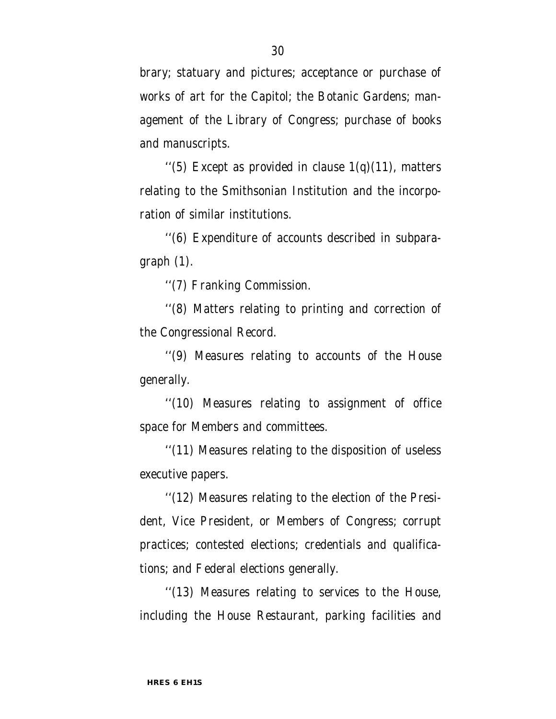brary; statuary and pictures; acceptance or purchase of works of art for the Capitol; the Botanic Gardens; management of the Library of Congress; purchase of books and manuscripts.

"(5) Except as provided in clause  $1(q)(11)$ , matters relating to the Smithsonian Institution and the incorporation of similar institutions.

''(6) Expenditure of accounts described in subparagraph (1).

''(7) Franking Commission.

''(8) Matters relating to printing and correction of the Congressional Record.

''(9) Measures relating to accounts of the House generally.

''(10) Measures relating to assignment of office space for Members and committees.

''(11) Measures relating to the disposition of useless executive papers.

''(12) Measures relating to the election of the President, Vice President, or Members of Congress; corrupt practices; contested elections; credentials and qualifications; and Federal elections generally.

''(13) Measures relating to services to the House, including the House Restaurant, parking facilities and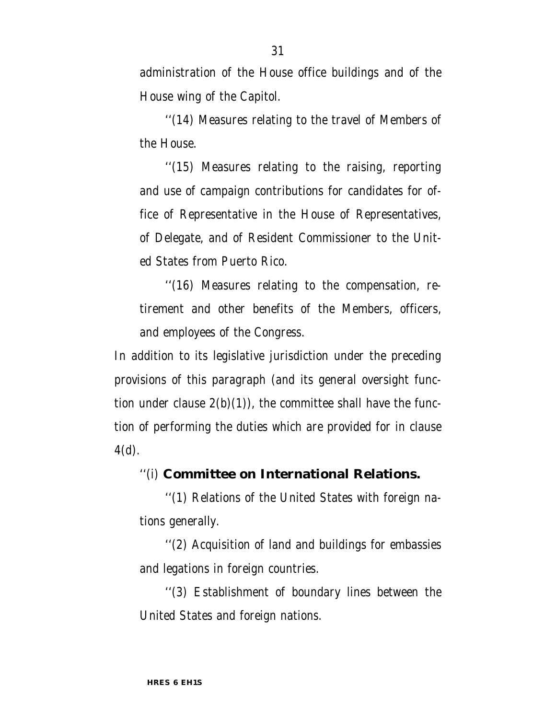administration of the House office buildings and of the House wing of the Capitol.

''(14) Measures relating to the travel of Members of the House.

''(15) Measures relating to the raising, reporting and use of campaign contributions for candidates for office of Representative in the House of Representatives, of Delegate, and of Resident Commissioner to the United States from Puerto Rico.

''(16) Measures relating to the compensation, retirement and other benefits of the Members, officers, and employees of the Congress.

In addition to its legislative jurisdiction under the preceding provisions of this paragraph (and its general oversight function under clause  $2(b)(1)$ , the committee shall have the function of performing the duties which are provided for in clause 4(d).

#### ''(i) **Committee on International Relations.**

''(1) Relations of the United States with foreign nations generally.

''(2) Acquisition of land and buildings for embassies and legations in foreign countries.

''(3) Establishment of boundary lines between the United States and foreign nations.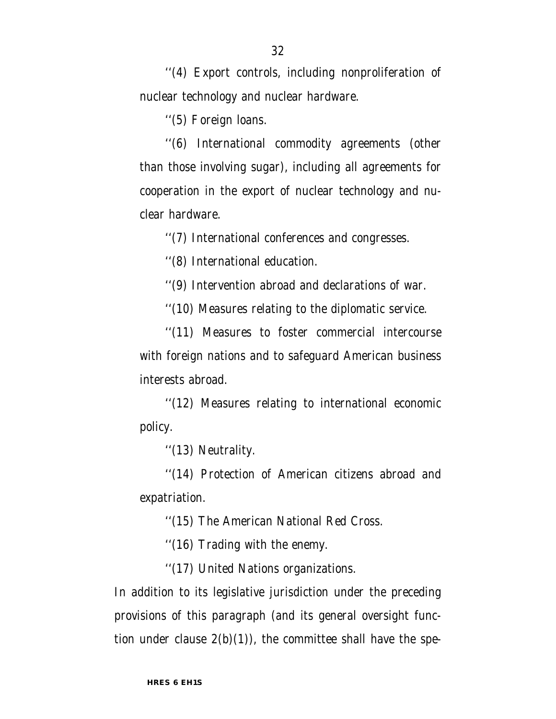32

''(4) Export controls, including nonproliferation of nuclear technology and nuclear hardware.

''(5) Foreign loans.

''(6) International commodity agreements (other than those involving sugar), including all agreements for cooperation in the export of nuclear technology and nuclear hardware.

''(7) International conferences and congresses.

''(8) International education.

''(9) Intervention abroad and declarations of war.

''(10) Measures relating to the diplomatic service.

''(11) Measures to foster commercial intercourse with foreign nations and to safeguard American business interests abroad.

''(12) Measures relating to international economic policy.

''(13) Neutrality.

''(14) Protection of American citizens abroad and expatriation.

''(15) The American National Red Cross.

''(16) Trading with the enemy.

''(17) United Nations organizations.

In addition to its legislative jurisdiction under the preceding provisions of this paragraph (and its general oversight function under clause  $2(b)(1)$ , the committee shall have the spe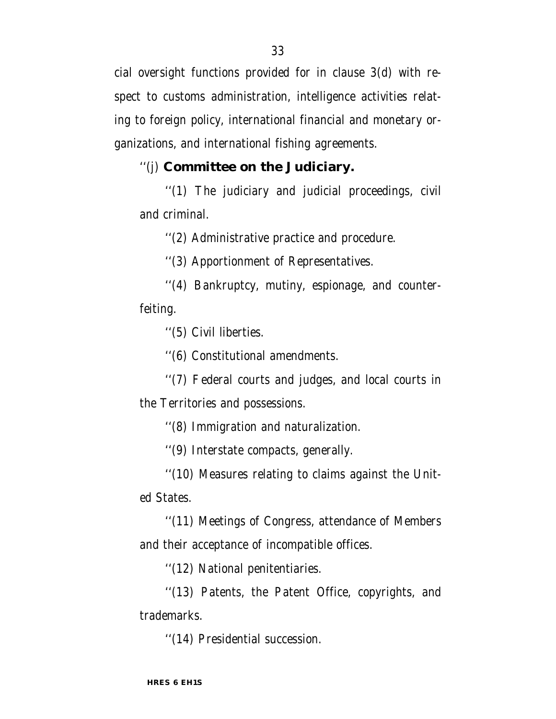cial oversight functions provided for in clause 3(d) with respect to customs administration, intelligence activities relating to foreign policy, international financial and monetary organizations, and international fishing agreements.

#### ''(j) **Committee on the Judiciary.**

''(1) The judiciary and judicial proceedings, civil and criminal.

''(2) Administrative practice and procedure.

''(3) Apportionment of Representatives.

''(4) Bankruptcy, mutiny, espionage, and counterfeiting.

''(5) Civil liberties.

''(6) Constitutional amendments.

''(7) Federal courts and judges, and local courts in the Territories and possessions.

''(8) Immigration and naturalization.

''(9) Interstate compacts, generally.

''(10) Measures relating to claims against the United States.

''(11) Meetings of Congress, attendance of Members and their acceptance of incompatible offices.

''(12) National penitentiaries.

''(13) Patents, the Patent Office, copyrights, and trademarks.

''(14) Presidential succession.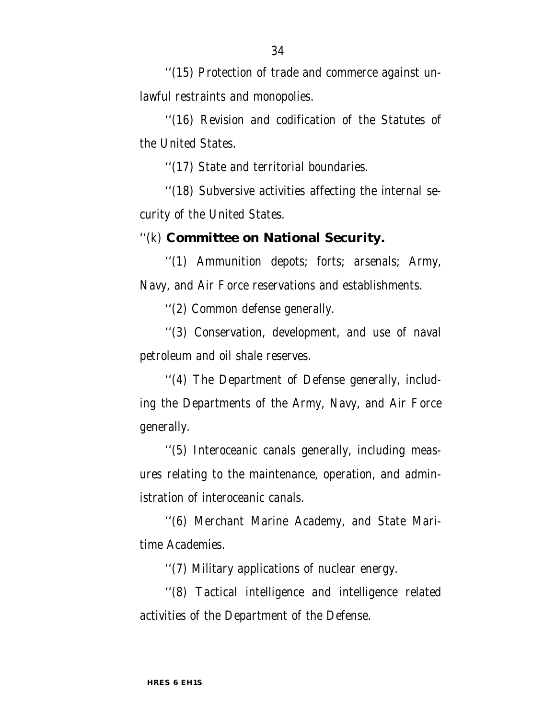''(15) Protection of trade and commerce against unlawful restraints and monopolies.

''(16) Revision and codification of the Statutes of the United States.

''(17) State and territorial boundaries.

''(18) Subversive activities affecting the internal security of the United States.

#### ''(k) **Committee on National Security.**

''(1) Ammunition depots; forts; arsenals; Army, Navy, and Air Force reservations and establishments.

''(2) Common defense generally.

''(3) Conservation, development, and use of naval petroleum and oil shale reserves.

''(4) The Department of Defense generally, including the Departments of the Army, Navy, and Air Force generally.

''(5) Interoceanic canals generally, including measures relating to the maintenance, operation, and administration of interoceanic canals.

''(6) Merchant Marine Academy, and State Maritime Academies.

''(7) Military applications of nuclear energy.

''(8) Tactical intelligence and intelligence related activities of the Department of the Defense.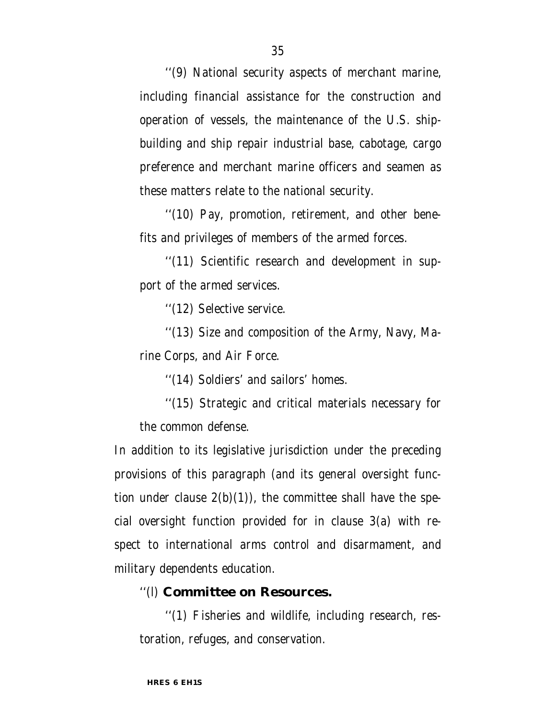''(9) National security aspects of merchant marine, including financial assistance for the construction and operation of vessels, the maintenance of the U.S. shipbuilding and ship repair industrial base, cabotage, cargo preference and merchant marine officers and seamen as these matters relate to the national security.

''(10) Pay, promotion, retirement, and other benefits and privileges of members of the armed forces.

''(11) Scientific research and development in support of the armed services.

''(12) Selective service.

''(13) Size and composition of the Army, Navy, Marine Corps, and Air Force.

''(14) Soldiers' and sailors' homes.

''(15) Strategic and critical materials necessary for the common defense.

In addition to its legislative jurisdiction under the preceding provisions of this paragraph (and its general oversight function under clause  $2(b)(1)$ , the committee shall have the special oversight function provided for in clause 3(a) with respect to international arms control and disarmament, and military dependents education.

## ''(l) **Committee on Resources.**

''(1) Fisheries and wildlife, including research, restoration, refuges, and conservation.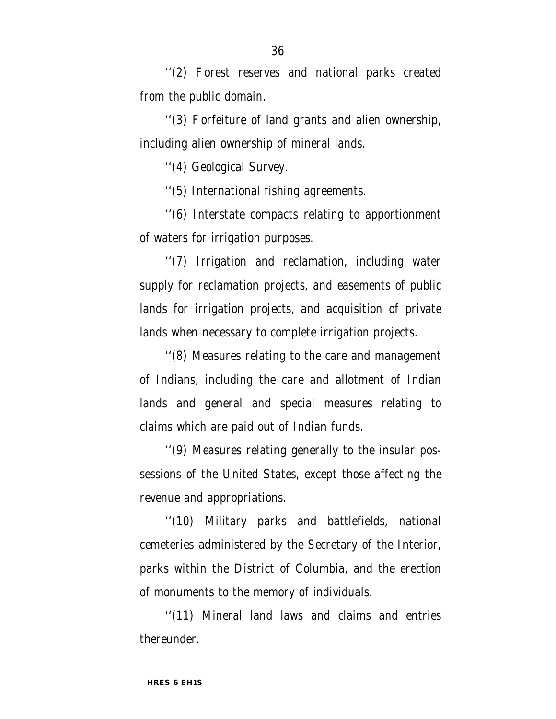''(2) Forest reserves and national parks created from the public domain.

''(3) Forfeiture of land grants and alien ownership, including alien ownership of mineral lands.

''(4) Geological Survey.

''(5) International fishing agreements.

''(6) Interstate compacts relating to apportionment of waters for irrigation purposes.

''(7) Irrigation and reclamation, including water supply for reclamation projects, and easements of public lands for irrigation projects, and acquisition of private lands when necessary to complete irrigation projects.

''(8) Measures relating to the care and management of Indians, including the care and allotment of Indian lands and general and special measures relating to claims which are paid out of Indian funds.

''(9) Measures relating generally to the insular possessions of the United States, except those affecting the revenue and appropriations.

''(10) Military parks and battlefields, national cemeteries administered by the Secretary of the Interior, parks within the District of Columbia, and the erection of monuments to the memory of individuals.

''(11) Mineral land laws and claims and entries thereunder.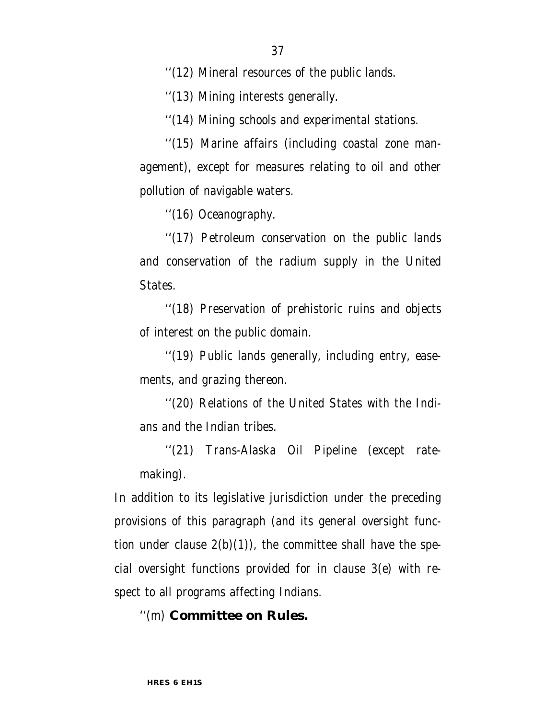''(13) Mining interests generally.

''(14) Mining schools and experimental stations.

''(15) Marine affairs (including coastal zone management), except for measures relating to oil and other pollution of navigable waters.

''(16) Oceanography.

''(17) Petroleum conservation on the public lands and conservation of the radium supply in the United States.

''(18) Preservation of prehistoric ruins and objects of interest on the public domain.

''(19) Public lands generally, including entry, easements, and grazing thereon.

''(20) Relations of the United States with the Indians and the Indian tribes.

''(21) Trans-Alaska Oil Pipeline (except ratemaking).

In addition to its legislative jurisdiction under the preceding provisions of this paragraph (and its general oversight function under clause  $2(b)(1)$ , the committee shall have the special oversight functions provided for in clause 3(e) with respect to all programs affecting Indians.

### ''(m) **Committee on Rules.**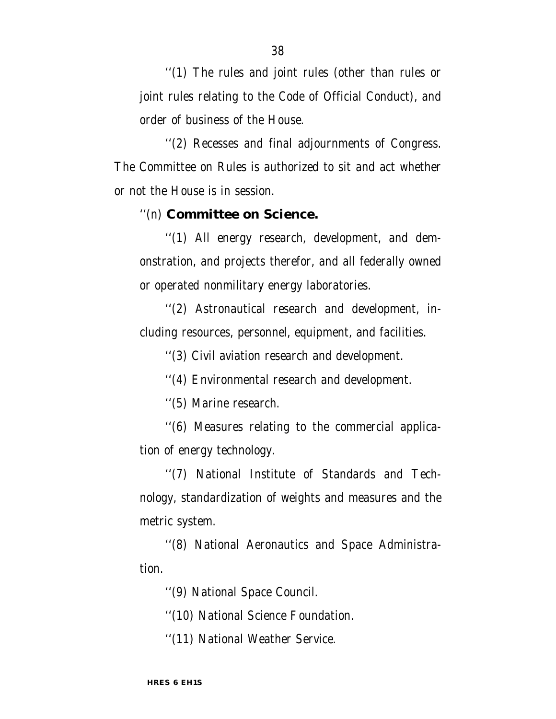''(1) The rules and joint rules (other than rules or joint rules relating to the Code of Official Conduct), and order of business of the House.

''(2) Recesses and final adjournments of Congress. The Committee on Rules is authorized to sit and act whether or not the House is in session.

#### ''(n) **Committee on Science.**

''(1) All energy research, development, and demonstration, and projects therefor, and all federally owned or operated nonmilitary energy laboratories.

''(2) Astronautical research and development, including resources, personnel, equipment, and facilities.

''(3) Civil aviation research and development.

''(4) Environmental research and development.

''(5) Marine research.

''(6) Measures relating to the commercial application of energy technology.

''(7) National Institute of Standards and Technology, standardization of weights and measures and the metric system.

''(8) National Aeronautics and Space Administration.

''(9) National Space Council.

''(10) National Science Foundation.

''(11) National Weather Service.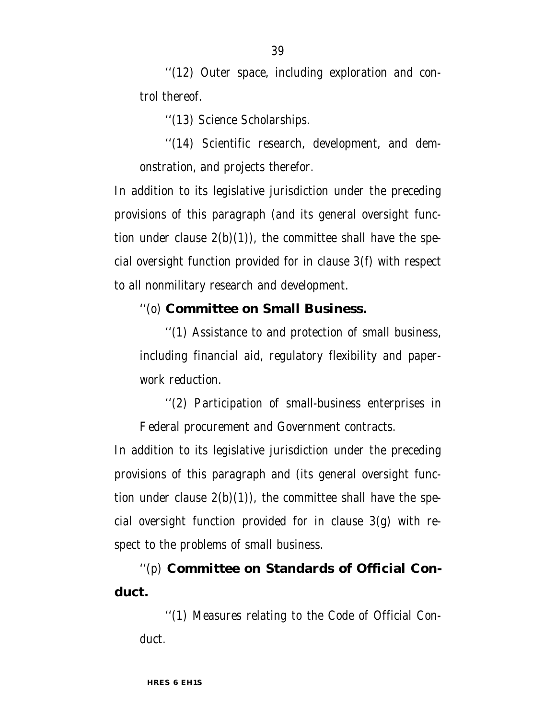''(12) Outer space, including exploration and control thereof.

''(13) Science Scholarships.

''(14) Scientific research, development, and demonstration, and projects therefor.

In addition to its legislative jurisdiction under the preceding provisions of this paragraph (and its general oversight function under clause  $2(b)(1)$ , the committee shall have the special oversight function provided for in clause 3(f) with respect to all nonmilitary research and development.

#### ''(o) **Committee on Small Business.**

''(1) Assistance to and protection of small business, including financial aid, regulatory flexibility and paperwork reduction.

''(2) Participation of small-business enterprises in Federal procurement and Government contracts.

In addition to its legislative jurisdiction under the preceding provisions of this paragraph and (its general oversight function under clause  $2(b)(1)$ , the committee shall have the special oversight function provided for in clause 3(g) with respect to the problems of small business.

''(p) **Committee on Standards of Official Conduct.**

''(1) Measures relating to the Code of Official Conduct.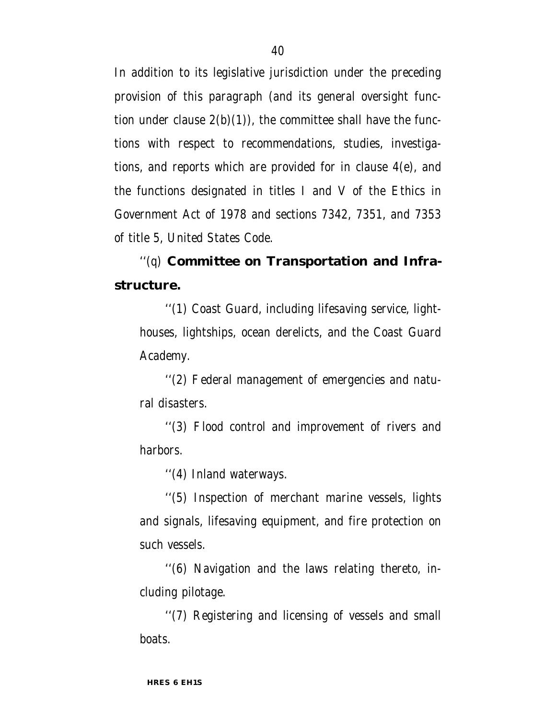In addition to its legislative jurisdiction under the preceding provision of this paragraph (and its general oversight function under clause  $2(b)(1)$ , the committee shall have the functions with respect to recommendations, studies, investigations, and reports which are provided for in clause 4(e), and the functions designated in titles I and V of the Ethics in Government Act of 1978 and sections 7342, 7351, and 7353 of title 5, United States Code.

''(q) **Committee on Transportation and Infrastructure.**

''(1) Coast Guard, including lifesaving service, lighthouses, lightships, ocean derelicts, and the Coast Guard Academy.

''(2) Federal management of emergencies and natural disasters.

''(3) Flood control and improvement of rivers and harbors.

''(4) Inland waterways.

''(5) Inspection of merchant marine vessels, lights and signals, lifesaving equipment, and fire protection on such vessels.

''(6) Navigation and the laws relating thereto, including pilotage.

''(7) Registering and licensing of vessels and small boats.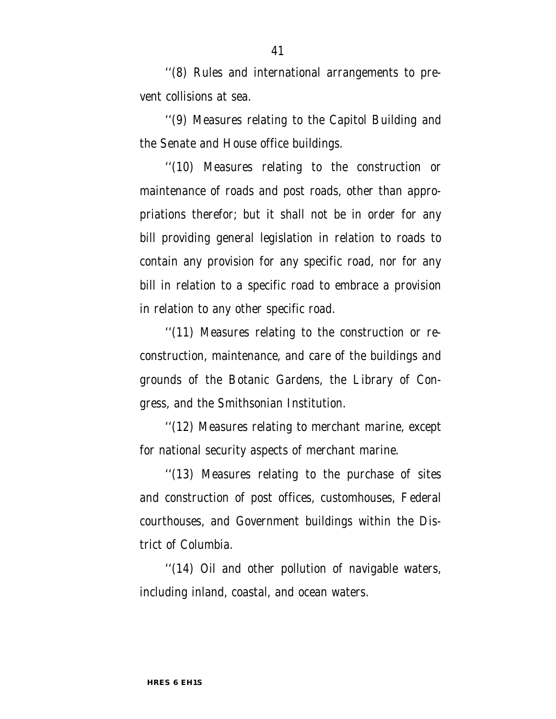''(8) Rules and international arrangements to prevent collisions at sea.

''(9) Measures relating to the Capitol Building and the Senate and House office buildings.

''(10) Measures relating to the construction or maintenance of roads and post roads, other than appropriations therefor; but it shall not be in order for any bill providing general legislation in relation to roads to contain any provision for any specific road, nor for any bill in relation to a specific road to embrace a provision in relation to any other specific road.

''(11) Measures relating to the construction or reconstruction, maintenance, and care of the buildings and grounds of the Botanic Gardens, the Library of Congress, and the Smithsonian Institution.

''(12) Measures relating to merchant marine, except for national security aspects of merchant marine.

''(13) Measures relating to the purchase of sites and construction of post offices, customhouses, Federal courthouses, and Government buildings within the District of Columbia.

''(14) Oil and other pollution of navigable waters, including inland, coastal, and ocean waters.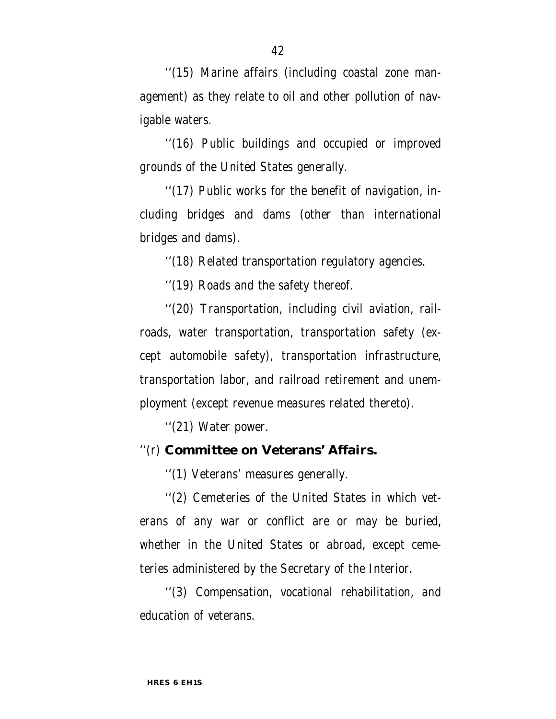''(15) Marine affairs (including coastal zone management) as they relate to oil and other pollution of navigable waters.

''(16) Public buildings and occupied or improved grounds of the United States generally.

''(17) Public works for the benefit of navigation, including bridges and dams (other than international bridges and dams).

''(18) Related transportation regulatory agencies.

''(19) Roads and the safety thereof.

''(20) Transportation, including civil aviation, railroads, water transportation, transportation safety (except automobile safety), transportation infrastructure, transportation labor, and railroad retirement and unemployment (except revenue measures related thereto).

''(21) Water power.

## ''(r) **Committee on Veterans' Affairs.**

''(1) Veterans' measures generally.

''(2) Cemeteries of the United States in which veterans of any war or conflict are or may be buried, whether in the United States or abroad, except cemeteries administered by the Secretary of the Interior.

''(3) Compensation, vocational rehabilitation, and education of veterans.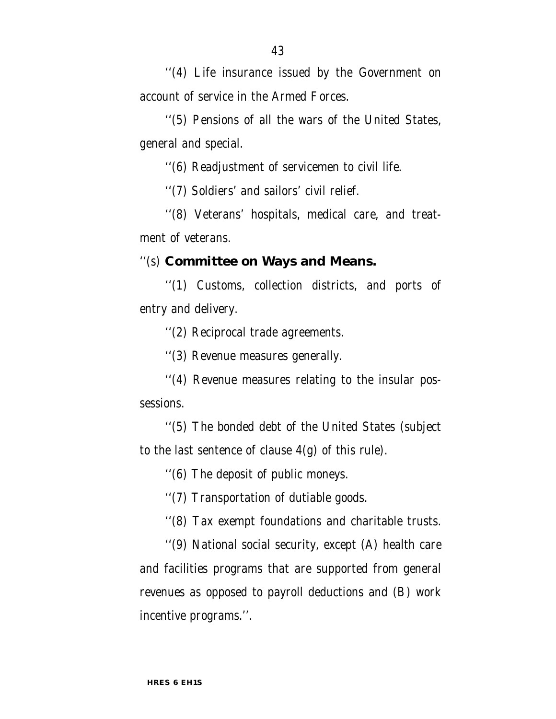''(4) Life insurance issued by the Government on account of service in the Armed Forces.

''(5) Pensions of all the wars of the United States, general and special.

''(6) Readjustment of servicemen to civil life.

''(7) Soldiers' and sailors' civil relief.

''(8) Veterans' hospitals, medical care, and treatment of veterans.

#### ''(s) **Committee on Ways and Means.**

''(1) Customs, collection districts, and ports of entry and delivery.

''(2) Reciprocal trade agreements.

''(3) Revenue measures generally.

''(4) Revenue measures relating to the insular possessions.

''(5) The bonded debt of the United States (subject to the last sentence of clause  $4(g)$  of this rule).

''(6) The deposit of public moneys.

''(7) Transportation of dutiable goods.

''(8) Tax exempt foundations and charitable trusts.

''(9) National social security, except (A) health care and facilities programs that are supported from general revenues as opposed to payroll deductions and (B) work incentive programs.''.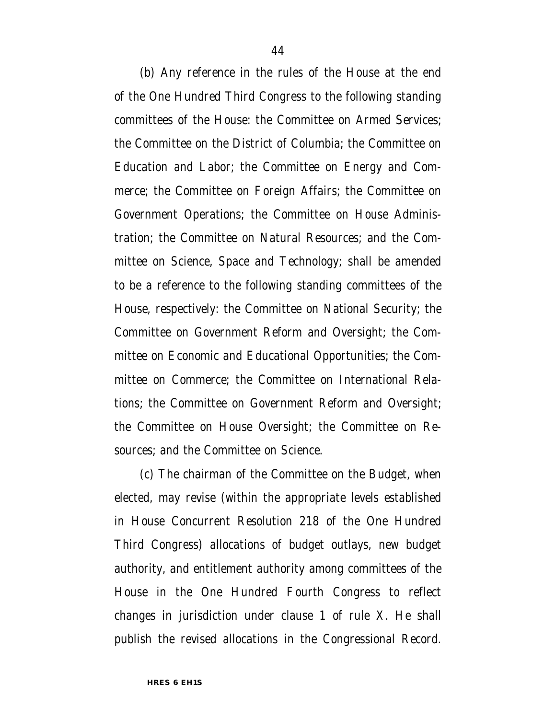(b) Any reference in the rules of the House at the end of the One Hundred Third Congress to the following standing committees of the House: the Committee on Armed Services; the Committee on the District of Columbia; the Committee on Education and Labor; the Committee on Energy and Commerce; the Committee on Foreign Affairs; the Committee on Government Operations; the Committee on House Administration; the Committee on Natural Resources; and the Committee on Science, Space and Technology; shall be amended to be a reference to the following standing committees of the House, respectively: the Committee on National Security; the Committee on Government Reform and Oversight; the Committee on Economic and Educational Opportunities; the Committee on Commerce; the Committee on International Relations; the Committee on Government Reform and Oversight; the Committee on House Oversight; the Committee on Resources; and the Committee on Science.

(c) The chairman of the Committee on the Budget, when elected, may revise (within the appropriate levels established in House Concurrent Resolution 218 of the One Hundred Third Congress) allocations of budget outlays, new budget authority, and entitlement authority among committees of the House in the One Hundred Fourth Congress to reflect changes in jurisdiction under clause 1 of rule X. He shall publish the revised allocations in the Congressional Record.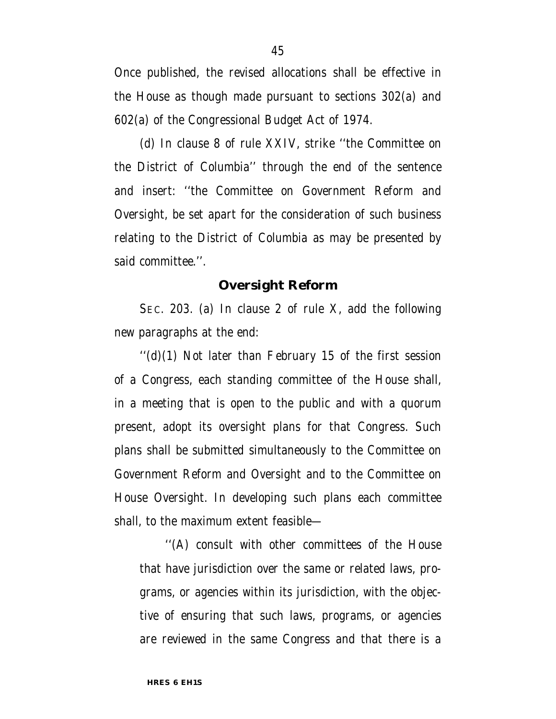Once published, the revised allocations shall be effective in the House as though made pursuant to sections 302(a) and 602(a) of the Congressional Budget Act of 1974.

(d) In clause 8 of rule XXIV, strike ''the Committee on the District of Columbia'' through the end of the sentence and insert: ''the Committee on Government Reform and Oversight, be set apart for the consideration of such business relating to the District of Columbia as may be presented by said committee.''.

#### **Oversight Reform**

SEC. 203. (a) In clause 2 of rule X, add the following new paragraphs at the end:

 $''$ (d)(1) Not later than February 15 of the first session of a Congress, each standing committee of the House shall, in a meeting that is open to the public and with a quorum present, adopt its oversight plans for that Congress. Such plans shall be submitted simultaneously to the Committee on Government Reform and Oversight and to the Committee on House Oversight. In developing such plans each committee shall, to the maximum extent feasible—

''(A) consult with other committees of the House that have jurisdiction over the same or related laws, programs, or agencies within its jurisdiction, with the objective of ensuring that such laws, programs, or agencies are reviewed in the same Congress and that there is a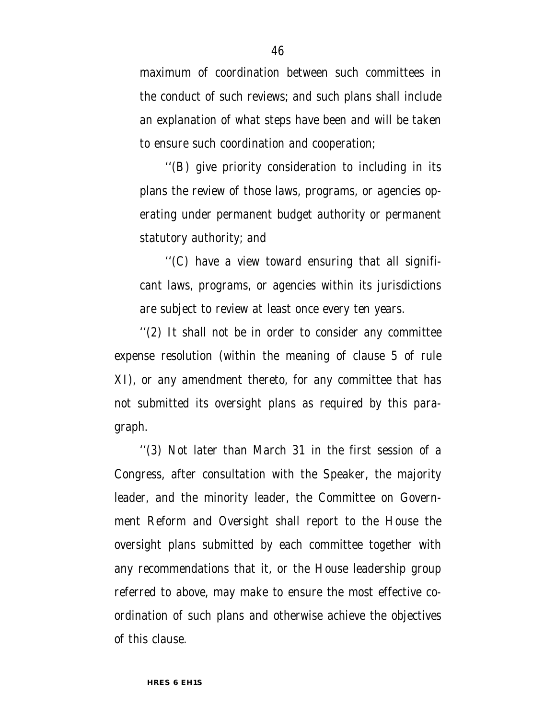maximum of coordination between such committees in the conduct of such reviews; and such plans shall include an explanation of what steps have been and will be taken to ensure such coordination and cooperation;

''(B) give priority consideration to including in its plans the review of those laws, programs, or agencies operating under permanent budget authority or permanent statutory authority; and

''(C) have a view toward ensuring that all significant laws, programs, or agencies within its jurisdictions are subject to review at least once every ten years.

''(2) It shall not be in order to consider any committee expense resolution (within the meaning of clause 5 of rule XI), or any amendment thereto, for any committee that has not submitted its oversight plans as required by this paragraph.

''(3) Not later than March 31 in the first session of a Congress, after consultation with the Speaker, the majority leader, and the minority leader, the Committee on Government Reform and Oversight shall report to the House the oversight plans submitted by each committee together with any recommendations that it, or the House leadership group referred to above, may make to ensure the most effective coordination of such plans and otherwise achieve the objectives of this clause.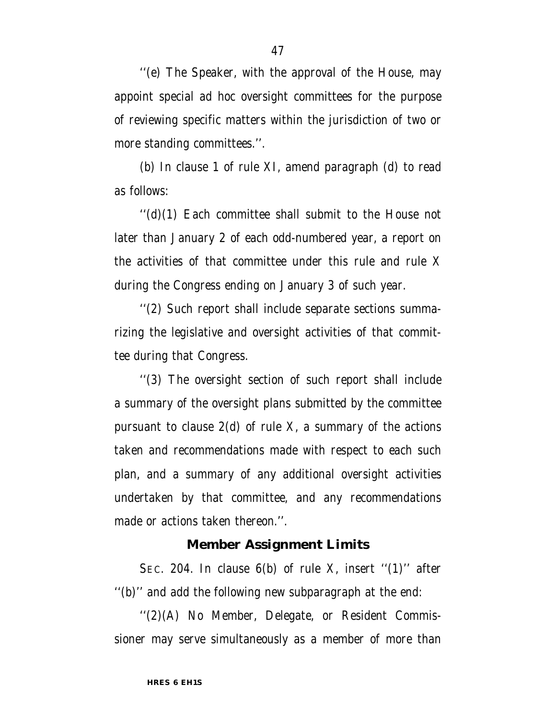''(e) The Speaker, with the approval of the House, may appoint special ad hoc oversight committees for the purpose of reviewing specific matters within the jurisdiction of two or more standing committees.''.

(b) In clause 1 of rule XI, amend paragraph (d) to read as follows:

''(d)(1) Each committee shall submit to the House not later than January 2 of each odd-numbered year, a report on the activities of that committee under this rule and rule X during the Congress ending on January 3 of such year.

''(2) Such report shall include separate sections summarizing the legislative and oversight activities of that committee during that Congress.

''(3) The oversight section of such report shall include a summary of the oversight plans submitted by the committee pursuant to clause  $2(d)$  of rule X, a summary of the actions taken and recommendations made with respect to each such plan, and a summary of any additional oversight activities undertaken by that committee, and any recommendations made or actions taken thereon.''.

#### **Member Assignment Limits**

SEC. 204. In clause  $6(b)$  of rule X, insert " $(1)$ " after ''(b)'' and add the following new subparagraph at the end:

''(2)(A) No Member, Delegate, or Resident Commissioner may serve simultaneously as a member of more than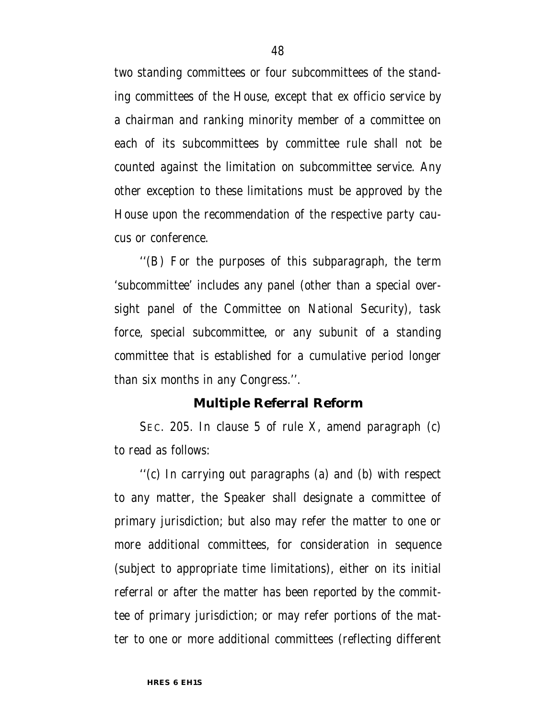two standing committees or four subcommittees of the standing committees of the House, except that ex officio service by a chairman and ranking minority member of a committee on each of its subcommittees by committee rule shall not be counted against the limitation on subcommittee service. Any other exception to these limitations must be approved by the House upon the recommendation of the respective party caucus or conference.

''(B) For the purposes of this subparagraph, the term 'subcommittee' includes any panel (other than a special oversight panel of the Committee on National Security), task force, special subcommittee, or any subunit of a standing committee that is established for a cumulative period longer than six months in any Congress.''.

#### **Multiple Referral Reform**

SEC. 205. In clause 5 of rule X, amend paragraph (c) to read as follows:

''(c) In carrying out paragraphs (a) and (b) with respect to any matter, the Speaker shall designate a committee of primary jurisdiction; but also may refer the matter to one or more additional committees, for consideration in sequence (subject to appropriate time limitations), either on its initial referral or after the matter has been reported by the committee of primary jurisdiction; or may refer portions of the matter to one or more additional committees (reflecting different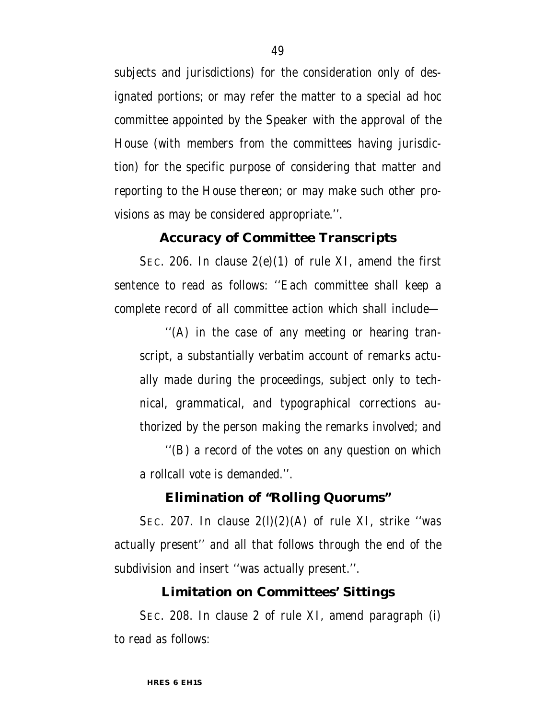subjects and jurisdictions) for the consideration only of designated portions; or may refer the matter to a special ad hoc committee appointed by the Speaker with the approval of the House (with members from the committees having jurisdiction) for the specific purpose of considering that matter and reporting to the House thereon; or may make such other provisions as may be considered appropriate.''.

### **Accuracy of Committee Transcripts**

SEC. 206. In clause  $2(e)(1)$  of rule XI, amend the first sentence to read as follows: ''Each committee shall keep a complete record of all committee action which shall include—

''(A) in the case of any meeting or hearing transcript, a substantially verbatim account of remarks actually made during the proceedings, subject only to technical, grammatical, and typographical corrections authorized by the person making the remarks involved; and

''(B) a record of the votes on any question on which a rollcall vote is demanded.''.

#### **Elimination of ''Rolling Quorums''**

SEC. 207. In clause  $2(1)(2)(A)$  of rule XI, strike "was actually present'' and all that follows through the end of the subdivision and insert ''was actually present.''.

#### **Limitation on Committees' Sittings**

SEC. 208. In clause 2 of rule XI, amend paragraph (i) to read as follows: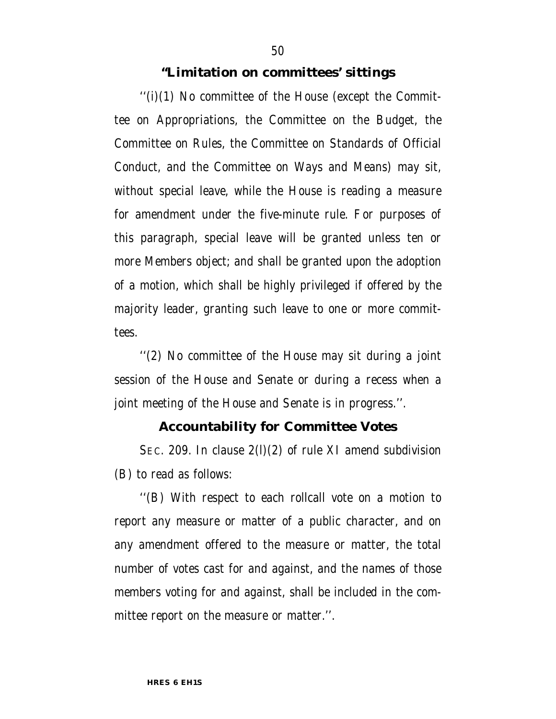#### **''Limitation on committees' sittings**

 $''(i)(1)$  No committee of the House (except the Committee on Appropriations, the Committee on the Budget, the Committee on Rules, the Committee on Standards of Official Conduct, and the Committee on Ways and Means) may sit, without special leave, while the House is reading a measure for amendment under the five-minute rule. For purposes of this paragraph, special leave will be granted unless ten or more Members object; and shall be granted upon the adoption of a motion, which shall be highly privileged if offered by the majority leader, granting such leave to one or more committees.

''(2) No committee of the House may sit during a joint session of the House and Senate or during a recess when a joint meeting of the House and Senate is in progress.''.

#### **Accountability for Committee Votes**

SEC. 209. In clause 2(l)(2) of rule XI amend subdivision (B) to read as follows:

''(B) With respect to each rollcall vote on a motion to report any measure or matter of a public character, and on any amendment offered to the measure or matter, the total number of votes cast for and against, and the names of those members voting for and against, shall be included in the committee report on the measure or matter.''.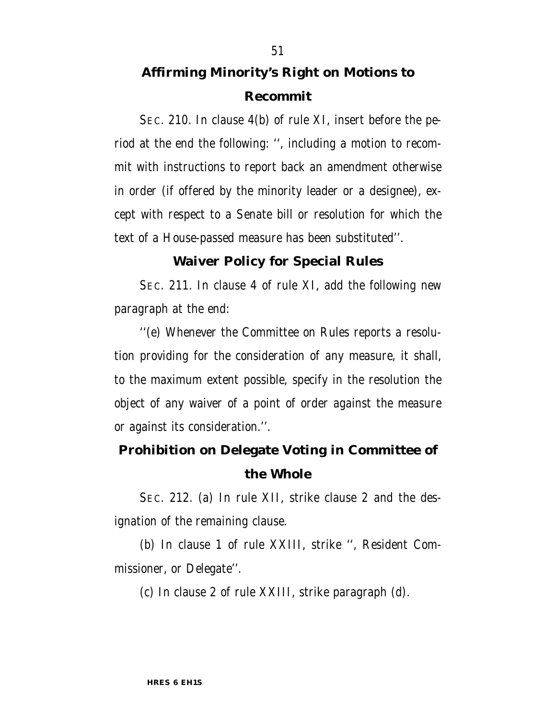# **Affirming Minority's Right on Motions to Recommit**

SEC. 210. In clause 4(b) of rule XI, insert before the period at the end the following: '', including a motion to recommit with instructions to report back an amendment otherwise in order (if offered by the minority leader or a designee), except with respect to a Senate bill or resolution for which the text of a House-passed measure has been substituted''.

#### **Waiver Policy for Special Rules**

SEC. 211. In clause 4 of rule XI, add the following new paragraph at the end:

''(e) Whenever the Committee on Rules reports a resolution providing for the consideration of any measure, it shall, to the maximum extent possible, specify in the resolution the object of any waiver of a point of order against the measure or against its consideration.''.

## **Prohibition on Delegate Voting in Committee of the Whole**

SEC. 212. (a) In rule XII, strike clause 2 and the designation of the remaining clause.

(b) In clause 1 of rule XXIII, strike '', Resident Commissioner, or Delegate''.

(c) In clause 2 of rule XXIII, strike paragraph (d).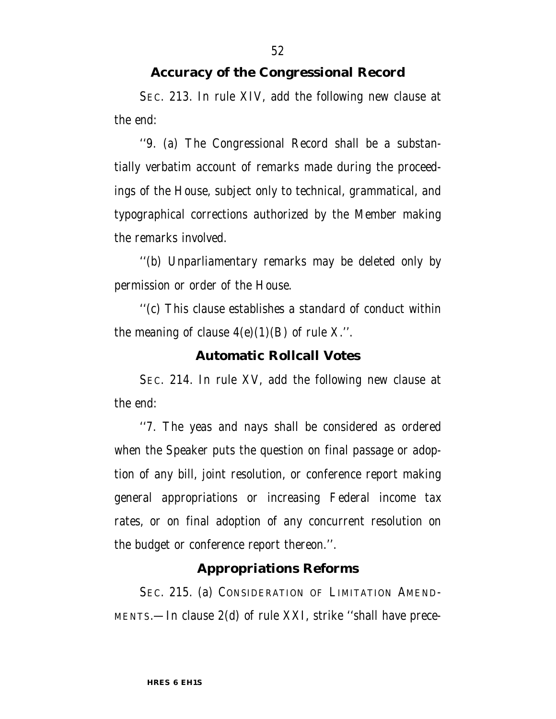## **Accuracy of the Congressional Record**

SEC. 213. In rule XIV, add the following new clause at the end:

''9. (a) The Congressional Record shall be a substantially verbatim account of remarks made during the proceedings of the House, subject only to technical, grammatical, and typographical corrections authorized by the Member making the remarks involved.

''(b) Unparliamentary remarks may be deleted only by permission or order of the House.

''(c) This clause establishes a standard of conduct within the meaning of clause  $4(e)(1)(B)$  of rule X.".

### **Automatic Rollcall Votes**

SEC. 214. In rule XV, add the following new clause at the end:

''7. The yeas and nays shall be considered as ordered when the Speaker puts the question on final passage or adoption of any bill, joint resolution, or conference report making general appropriations or increasing Federal income tax rates, or on final adoption of any concurrent resolution on the budget or conference report thereon.''.

### **Appropriations Reforms**

SEC. 215. (a) CONSIDERATION OF LIMITATION AMEND-MENTS.—In clause 2(d) of rule XXI, strike ''shall have prece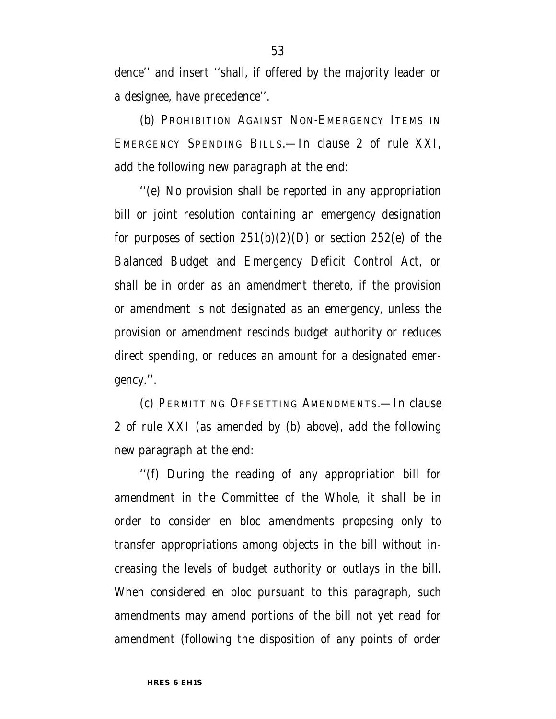dence'' and insert ''shall, if offered by the majority leader or a designee, have precedence''.

(b) PROHIBITION AGAINST NON-EMERGENCY ITEMS IN EMERGENCY SPENDING BILLS.—In clause 2 of rule XXI, add the following new paragraph at the end:

''(e) No provision shall be reported in any appropriation bill or joint resolution containing an emergency designation for purposes of section  $251(b)(2)(D)$  or section  $252(e)$  of the Balanced Budget and Emergency Deficit Control Act, or shall be in order as an amendment thereto, if the provision or amendment is not designated as an emergency, unless the provision or amendment rescinds budget authority or reduces direct spending, or reduces an amount for a designated emergency.''.

(c) PERMITTING OFFSETTING AMENDMENTS.—In clause 2 of rule XXI (as amended by (b) above), add the following new paragraph at the end:

''(f) During the reading of any appropriation bill for amendment in the Committee of the Whole, it shall be in order to consider en bloc amendments proposing only to transfer appropriations among objects in the bill without increasing the levels of budget authority or outlays in the bill. When considered en bloc pursuant to this paragraph, such amendments may amend portions of the bill not yet read for amendment (following the disposition of any points of order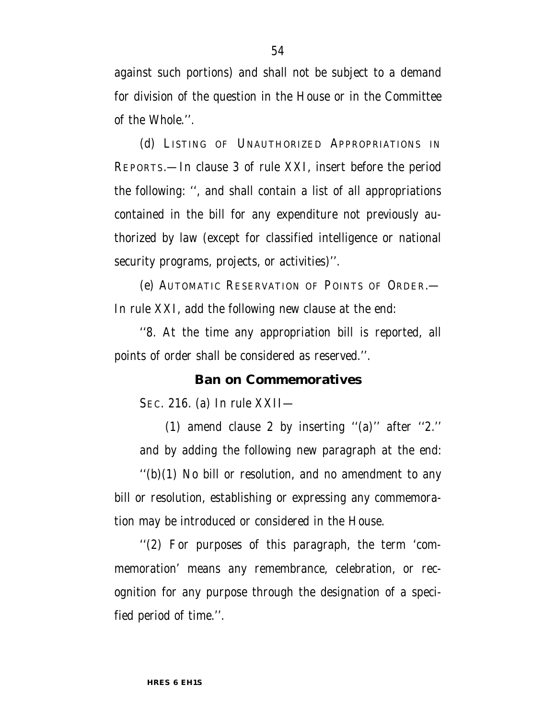against such portions) and shall not be subject to a demand for division of the question in the House or in the Committee of the Whole.''.

(d) LISTING OF UNAUTHORIZED APPROPRIATIONS IN REPORTS.—In clause 3 of rule XXI, insert before the period the following: '', and shall contain a list of all appropriations contained in the bill for any expenditure not previously authorized by law (except for classified intelligence or national security programs, projects, or activities)''.

(e) AUTOMATIC RESERVATION OF POINTS OF ORDER.— In rule XXI, add the following new clause at the end:

''8. At the time any appropriation bill is reported, all points of order shall be considered as reserved.''.

#### **Ban on Commemoratives**

SEC. 216. (a) In rule XXII—

(1) amend clause 2 by inserting ''(a)'' after ''2.'' and by adding the following new paragraph at the end:

 $''(b)(1)$  No bill or resolution, and no amendment to any bill or resolution, establishing or expressing any commemoration may be introduced or considered in the House.

''(2) For purposes of this paragraph, the term 'commemoration' means any remembrance, celebration, or recognition for any purpose through the designation of a specified period of time.''.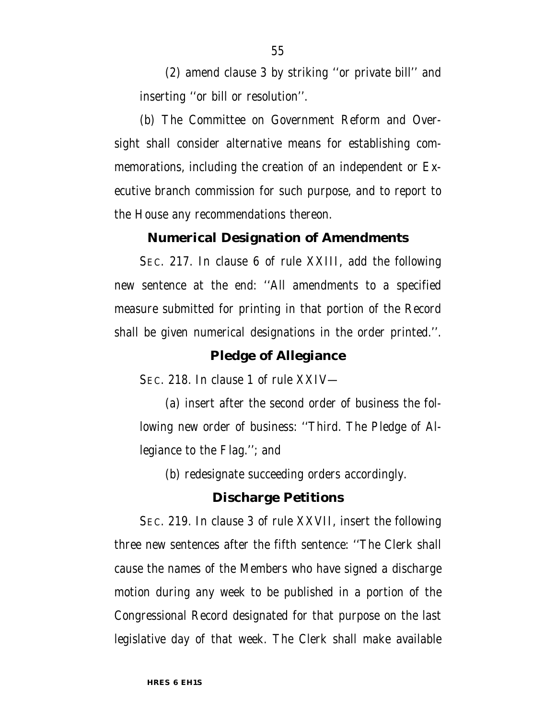(2) amend clause 3 by striking ''or private bill'' and inserting ''or bill or resolution''.

(b) The Committee on Government Reform and Oversight shall consider alternative means for establishing commemorations, including the creation of an independent or Executive branch commission for such purpose, and to report to the House any recommendations thereon.

#### **Numerical Designation of Amendments**

SEC. 217. In clause 6 of rule XXIII, add the following new sentence at the end: ''All amendments to a specified measure submitted for printing in that portion of the Record shall be given numerical designations in the order printed.''.

#### **Pledge of Allegiance**

SEC. 218. In clause 1 of rule XXIV—

(a) insert after the second order of business the following new order of business: ''Third. The Pledge of Allegiance to the Flag.''; and

(b) redesignate succeeding orders accordingly.

#### **Discharge Petitions**

SEC. 219. In clause 3 of rule XXVII, insert the following three new sentences after the fifth sentence: ''The Clerk shall cause the names of the Members who have signed a discharge motion during any week to be published in a portion of the Congressional Record designated for that purpose on the last legislative day of that week. The Clerk shall make available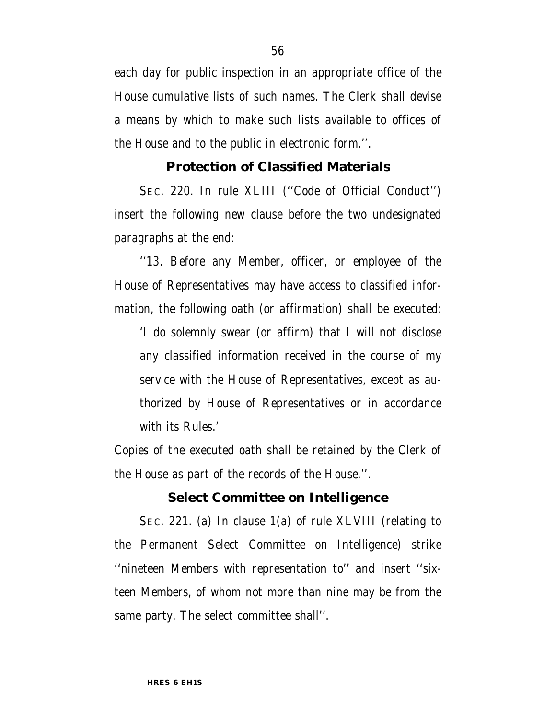each day for public inspection in an appropriate office of the House cumulative lists of such names. The Clerk shall devise a means by which to make such lists available to offices of the House and to the public in electronic form.''.

#### **Protection of Classified Materials**

SEC. 220. In rule XLIII (''Code of Official Conduct'') insert the following new clause before the two undesignated paragraphs at the end:

''13. Before any Member, officer, or employee of the House of Representatives may have access to classified information, the following oath (or affirmation) shall be executed:

'I do solemnly swear (or affirm) that I will not disclose any classified information received in the course of my service with the House of Representatives, except as authorized by House of Representatives or in accordance with its Rules.'

Copies of the executed oath shall be retained by the Clerk of the House as part of the records of the House.''.

#### **Select Committee on Intelligence**

SEC. 221. (a) In clause 1(a) of rule XLVIII (relating to the Permanent Select Committee on Intelligence) strike ''nineteen Members with representation to'' and insert ''sixteen Members, of whom not more than nine may be from the same party. The select committee shall''.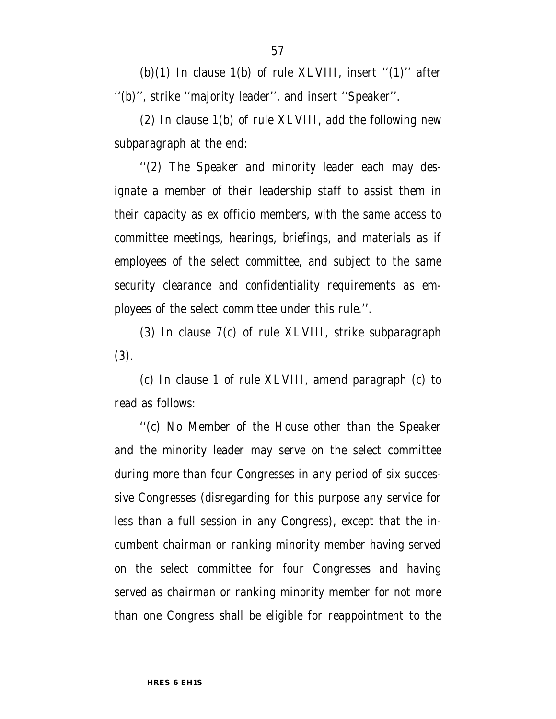(b)(1) In clause 1(b) of rule XLVIII, insert " $(1)$ " after ''(b)'', strike ''majority leader'', and insert ''Speaker''.

(2) In clause 1(b) of rule XLVIII, add the following new subparagraph at the end:

''(2) The Speaker and minority leader each may designate a member of their leadership staff to assist them in their capacity as ex officio members, with the same access to committee meetings, hearings, briefings, and materials as if employees of the select committee, and subject to the same security clearance and confidentiality requirements as employees of the select committee under this rule.''.

(3) In clause 7(c) of rule XLVIII, strike subparagraph (3).

(c) In clause 1 of rule XLVIII, amend paragraph (c) to read as follows:

''(c) No Member of the House other than the Speaker and the minority leader may serve on the select committee during more than four Congresses in any period of six successive Congresses (disregarding for this purpose any service for less than a full session in any Congress), except that the incumbent chairman or ranking minority member having served on the select committee for four Congresses and having served as chairman or ranking minority member for not more than one Congress shall be eligible for reappointment to the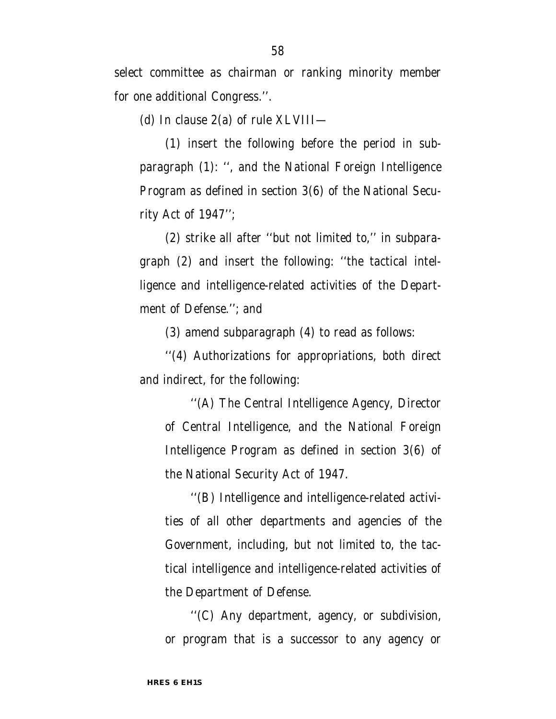select committee as chairman or ranking minority member for one additional Congress.''.

(d) In clause 2(a) of rule XLVIII—

(1) insert the following before the period in subparagraph (1): '', and the National Foreign Intelligence Program as defined in section 3(6) of the National Security Act of 1947'';

(2) strike all after ''but not limited to,'' in subparagraph (2) and insert the following: ''the tactical intelligence and intelligence-related activities of the Department of Defense.''; and

(3) amend subparagraph (4) to read as follows:

''(4) Authorizations for appropriations, both direct and indirect, for the following:

''(A) The Central Intelligence Agency, Director of Central Intelligence, and the National Foreign Intelligence Program as defined in section 3(6) of the National Security Act of 1947.

''(B) Intelligence and intelligence-related activities of all other departments and agencies of the Government, including, but not limited to, the tactical intelligence and intelligence-related activities of the Department of Defense.

''(C) Any department, agency, or subdivision, or program that is a successor to any agency or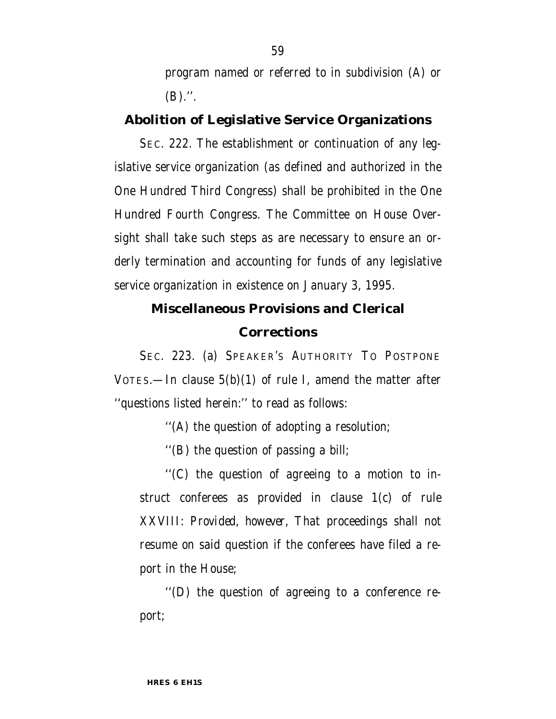program named or referred to in subdivision (A) or  $(B)$ .".

## **Abolition of Legislative Service Organizations**

SEC. 222. The establishment or continuation of any legislative service organization (as defined and authorized in the One Hundred Third Congress) shall be prohibited in the One Hundred Fourth Congress. The Committee on House Oversight shall take such steps as are necessary to ensure an orderly termination and accounting for funds of any legislative service organization in existence on January 3, 1995.

## **Miscellaneous Provisions and Clerical Corrections**

SEC. 223. (a) SPEAKER'S AUTHORITY TO POSTPONE VOTES.—In clause  $5(b)(1)$  of rule I, amend the matter after ''questions listed herein:'' to read as follows:

''(A) the question of adopting a resolution;

''(B) the question of passing a bill;

''(C) the question of agreeing to a motion to instruct conferees as provided in clause 1(c) of rule XXVIII: *Provided, however,* That proceedings shall not resume on said question if the conferees have filed a report in the House;

''(D) the question of agreeing to a conference report;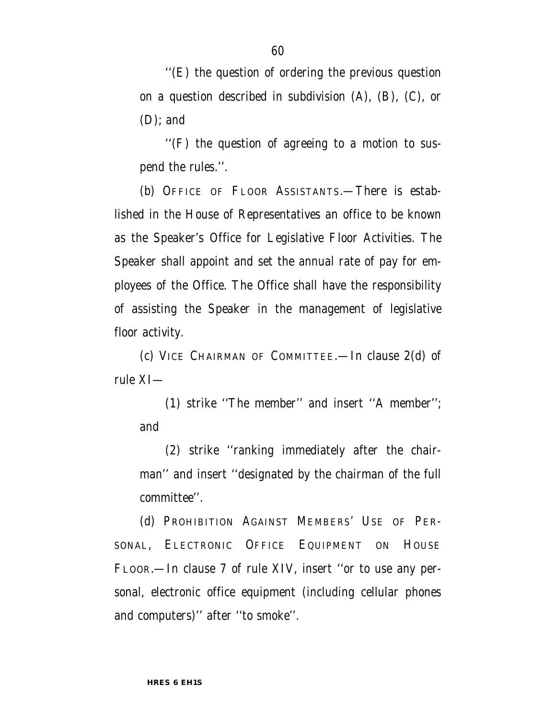''(E) the question of ordering the previous question on a question described in subdivision (A), (B), (C), or (D); and

''(F) the question of agreeing to a motion to suspend the rules.''.

(b) OFFICE OF FLOOR ASSISTANTS.—There is established in the House of Representatives an office to be known as the Speaker's Office for Legislative Floor Activities. The Speaker shall appoint and set the annual rate of pay for employees of the Office. The Office shall have the responsibility of assisting the Speaker in the management of legislative floor activity.

(c) VICE CHAIRMAN OF COMMITTEE.—In clause 2(d) of rule XI—

(1) strike ''The member'' and insert ''A member''; and

(2) strike ''ranking immediately after the chairman'' and insert ''designated by the chairman of the full committee''.

(d) PROHIBITION AGAINST MEMBERS' USE OF PER-SONAL, ELECTRONIC OFFICE EQUIPMENT ON HOUSE FLOOR.—In clause 7 of rule XIV, insert ''or to use any personal, electronic office equipment (including cellular phones and computers)'' after ''to smoke''.